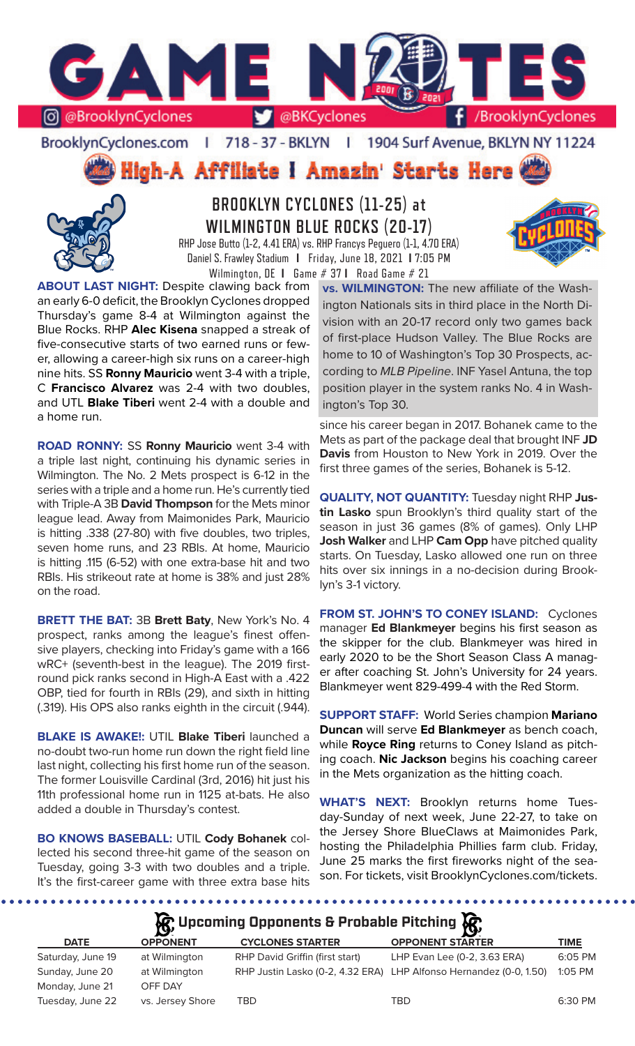

BrooklynCyclones.com | 718 - 37 - BKLYN | 1904 Surf Avenue, BKLYN NY 11224

High-A Affiliate I Amazin' Starts Here



**BROOKLYN CYCLONES (11-25) at WILMINGTON BLUE ROCKS (20-17)** RHP Jose Butto (1-2, 4.41 ERA) vs. RHP Francys Peguero (1-1, 4.70 ERA)

Daniel S. Frawley Stadium **I** Friday, June 18, 2021 **I** 7:05 PM Wilmington, DE **I** Game # 37 **I** Road Game # 21

**ABOUT LAST NIGHT:** Despite clawing back from an early 6-0 deficit, the Brooklyn Cyclones dropped Thursday's game 8-4 at Wilmington against the Blue Rocks. RHP **Alec Kisena** snapped a streak of five-consecutive starts of two earned runs or fewer, allowing a career-high six runs on a career-high nine hits. SS **Ronny Mauricio** went 3-4 with a triple, C **Francisco Alvarez** was 2-4 with two doubles, and UTL **Blake Tiberi** went 2-4 with a double and a home run.

**ROAD RONNY:** SS **Ronny Mauricio** went 3-4 with a triple last night, continuing his dynamic series in Wilmington. The No. 2 Mets prospect is 6-12 in the series with a triple and a home run. He's currently tied with Triple-A 3B **David Thompson** for the Mets minor league lead. Away from Maimonides Park, Mauricio is hitting .338 (27-80) with five doubles, two triples, seven home runs, and 23 RBIs. At home, Mauricio is hitting .115 (6-52) with one extra-base hit and two RBIs. His strikeout rate at home is 38% and just 28% on the road.

**BRETT THE BAT:** 3B **Brett Baty**, New York's No. 4 prospect, ranks among the league's finest offensive players, checking into Friday's game with a 166 wRC+ (seventh-best in the league). The 2019 firstround pick ranks second in High-A East with a .422 OBP, tied for fourth in RBIs (29), and sixth in hitting (.319). His OPS also ranks eighth in the circuit (.944).

**BLAKE IS AWAKE!:** UTIL **Blake Tiberi** launched a no-doubt two-run home run down the right field line last night, collecting his first home run of the season. The former Louisville Cardinal (3rd, 2016) hit just his 11th professional home run in 1125 at-bats. He also added a double in Thursday's contest.

**BO KNOWS BASEBALL:** UTIL **Cody Bohanek** collected his second three-hit game of the season on Tuesday, going 3-3 with two doubles and a triple. It's the first-career game with three extra base hits

**vs. WILMINGTON:** The new affiliate of the Washington Nationals sits in third place in the North Division with an 20-17 record only two games back of first-place Hudson Valley. The Blue Rocks are home to 10 of Washington's Top 30 Prospects, according to *MLB Pipeline*. INF Yasel Antuna, the top position player in the system ranks No. 4 in Washington's Top 30.

since his career began in 2017. Bohanek came to the Mets as part of the package deal that brought INF **JD Davis** from Houston to New York in 2019. Over the first three games of the series, Bohanek is 5-12.

**QUALITY, NOT QUANTITY:** Tuesday night RHP **Justin Lasko** spun Brooklyn's third quality start of the season in just 36 games (8% of games). Only LHP **Josh Walker** and LHP **Cam Opp** have pitched quality starts. On Tuesday, Lasko allowed one run on three hits over six innings in a no-decision during Brooklyn's 3-1 victory.

**FROM ST. JOHN'S TO CONEY ISLAND:** Cyclones manager **Ed Blankmeyer** begins his first season as the skipper for the club. Blankmeyer was hired in early 2020 to be the Short Season Class A manager after coaching St. John's University for 24 years. Blankmeyer went 829-499-4 with the Red Storm.

**SUPPORT STAFF:** World Series champion **Mariano Duncan** will serve **Ed Blankmeyer** as bench coach, while **Royce Ring** returns to Coney Island as pitching coach. **Nic Jackson** begins his coaching career in the Mets organization as the hitting coach.

**WHAT'S NEXT:** Brooklyn returns home Tuesday-Sunday of next week, June 22-27, to take on the Jersey Shore BlueClaws at Maimonides Park, hosting the Philadelphia Phillies farm club. Friday, June 25 marks the first fireworks night of the season. For tickets, visit BrooklynCyclones.com/tickets.

**Incoming Opponents & Probable Pitching** 

|                   |                  | $\mathbf{Q}$ , and the contract of the contract of $\mathbf{Q}$ , |                                                                    |             |
|-------------------|------------------|-------------------------------------------------------------------|--------------------------------------------------------------------|-------------|
| <b>DATE</b>       | <b>OPPONENT</b>  | <b>CYCLONES STARTER</b>                                           | <b>OPPONENT STARTER</b>                                            | <b>TIME</b> |
| Saturday, June 19 | at Wilmington    | RHP David Griffin (first start)                                   | LHP Evan Lee (0-2, 3.63 ERA)                                       | 6:05 PM     |
| Sunday, June 20   | at Wilmington    |                                                                   | RHP Justin Lasko (0-2, 4.32 ERA) LHP Alfonso Hernandez (0-0, 1.50) | 1:05 PM     |
| Monday, June 21   | OFF DAY          |                                                                   |                                                                    |             |
| Tuesday, June 22  | vs. Jersey Shore | TBD                                                               | TBD                                                                | 6:30 PM     |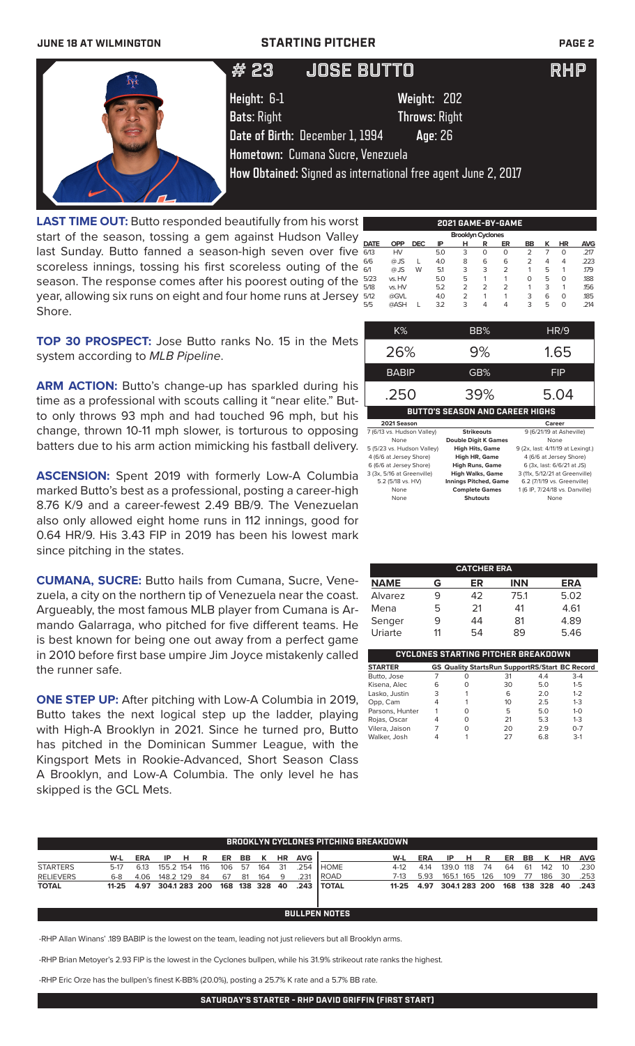### **JUNE 18 AT WILMINGTON STARTING PITCHER PAGE 2**

| # 23                              | <b>JOSE BUTTO</b>                                                                                                                                                                       | <b>IRHP</b> |
|-----------------------------------|-----------------------------------------------------------------------------------------------------------------------------------------------------------------------------------------|-------------|
| Height: 6-1<br><b>Bats: Right</b> | Weight: 202<br><b>Throws: Right</b><br>Date of Birth: December 1, 1994<br>Age: 26<br>Hometown: Cumana Sucre, Venezuela<br>How Obtained: Signed as international free agent June 2, 2017 |             |
|                                   |                                                                                                                                                                                         |             |

**LAST TIME OUT:** Butto responded beautifully from his worst start of the season, tossing a gem against Hudson Valley last Sunday. Butto fanned a season-high seven over five scoreless innings, tossing his first scoreless outing of the season. The response comes after his poorest outing of the year, allowing six runs on eight and four home runs at Jersey Shore.

|             |            |            |     | <b>Brooklyn Cyclones</b> |                |    |    |   |    |            |
|-------------|------------|------------|-----|--------------------------|----------------|----|----|---|----|------------|
| <b>DATE</b> | <b>OPP</b> | <b>DEC</b> | IP  | н                        | R              | ER | BB | κ | ΗR | <b>AVG</b> |
| 6/13        | HV         |            | 5.0 | 3                        | 0              | 0  | 2  |   | 0  | .217       |
| 6/6         | $@$ JS     |            | 4.0 | 8                        | 6              | 6  | 2  | 4 | 4  | .223       |
| 6/1         | $@$ JS     | W          | 5.1 | 3                        | 3              | 2  | 1  | 5 |    | .179       |
| 5/23        | vs. HV     |            | 5.0 | 5                        | 1              |    | Ο  | 5 | Ο  | .188       |
| 5/18        | vs. HV     |            | 5.2 | $\overline{2}$           | $\overline{2}$ | 2  |    | 3 | 1  | .156       |
| 5/12        | @GVL       |            | 4.0 | $\overline{2}$           | 1              |    | 3  | 6 | 0  | .185       |
| 5/5         | @ASH       |            | 3.2 | 3                        | 4              | 4  | 3  | 5 | 0  | .214       |
|             |            |            |     |                          |                |    |    |   |    |            |

**2021 GAME-BY-GAME**

**TOP 30 PROSPECT:** Jose Butto ranks No. 15 in the Mets system according to *MLB Pipeline*.

ARM ACTION: Butto's change-up has sparkled during his time as a professional with scouts calling it "near elite." Butto only throws 93 mph and had touched 96 mph, but his change, thrown 10-11 mph slower, is torturous to opposing batters due to his arm action mimicking his fastball delivery.

**ASCENSION:** Spent 2019 with formerly Low-A Columbia 3(3), 5/16 at Greenville) marked Butto's best as a professional, posting a career-high 8.76 K/9 and a career-fewest 2.49 BB/9. The Venezuelan also only allowed eight home runs in 112 innings, good for 0.64 HR/9. His 3.43 FIP in 2019 has been his lowest mark since pitching in the states.

**CUMANA, SUCRE:** Butto hails from Cumana, Sucre, Venezuela, a city on the northern tip of Venezuela near the coast. Argueably, the most famous MLB player from Cumana is Armando Galarraga, who pitched for five different teams. He is best known for being one out away from a perfect game in 2010 before first base umpire Jim Joyce mistakenly called the runner safe.

**ONE STEP UP:** After pitching with Low-A Columbia in 2019, Butto takes the next logical step up the ladder, playing with High-A Brooklyn in 2021. Since he turned pro, Butto has pitched in the Dominican Summer League, with the Kingsport Mets in Rookie-Advanced, Short Season Class A Brooklyn, and Low-A Columbia. The only level he has skipped is the GCL Mets.

| K%                         | BB%                                    | HR/9                              |
|----------------------------|----------------------------------------|-----------------------------------|
| 26%                        | 9%                                     | 1.65                              |
| <b>BABIP</b>               | GB%                                    | FIP                               |
| .250                       | 39%                                    | 5.04                              |
|                            | <b>BUTTO'S SEASON AND CAREER HIGHS</b> |                                   |
| 2021 Season                |                                        | Career                            |
| 7 (6/13 vs. Hudson Valley) | <b>Strikeouts</b>                      | 9 (6/21/19 at Asheville)          |
| None                       | <b>Double Digit K Games</b>            | None                              |
| 5 (5/23 vs. Hudson Valley) | <b>High Hits, Game</b>                 | 9 (2x, last: 4/11/19 at Lexingt.) |
| 4 (6/6 at Jersey Shore)    | <b>High HR, Game</b>                   | 4 (6/6 at Jersey Shore)           |

6 (6/6 at Jersey Shore) **High Runs, Game** 6 (3x, last: 6/6/21 at JS)

5.2 (5/18 vs. HV) **Innings Pitched, Game** 6.2 (7/1/19 vs. Greenville)<br>None **Complete Games** 1.6 IP. 7/24/18 vs. Danville None **Complete Games** 1 (6 IP, 7/24/18 vs. Danville)<br>None **Shutouts** None **Shutouts** 

3 (3x, 5/16 at Greenville) **High Walks, Game** 3 (11x, 5/12/21 at Greenville)

| <b>CATCHER ERA</b> |    |    |                                            |            |  |  |  |  |  |
|--------------------|----|----|--------------------------------------------|------------|--|--|--|--|--|
| <b>NAME</b>        | G  | ER | <b>INN</b>                                 | <b>ERA</b> |  |  |  |  |  |
| Alvarez            |    | 42 | 75.1                                       | 5.02       |  |  |  |  |  |
| Mena               | 5  | 21 | 41                                         | 4.61       |  |  |  |  |  |
| Senger             | 9  | 44 | 81                                         | 4.89       |  |  |  |  |  |
| Uriarte            | 11 | 54 | 89                                         | 5.46       |  |  |  |  |  |
|                    |    |    |                                            |            |  |  |  |  |  |
|                    |    |    | <b>CYCLONES STARTING PITCHER BREAKDOWN</b> |            |  |  |  |  |  |

| <b>STARTER</b>  |   | <b>GS Quality StartsRun SupportRS/Start BC Record</b> |    |     |              |
|-----------------|---|-------------------------------------------------------|----|-----|--------------|
| Butto, Jose     |   | Ο                                                     | 31 | 4.4 | $3-4$        |
| Kisena, Alec    | 6 | Ω                                                     | 30 | 5.0 | $1 - 5$      |
| Lasko, Justin   | 3 |                                                       | 6  | 2.0 | $1 - 2$      |
| Opp, Cam        | 4 |                                                       | 10 | 2.5 | $1 - 3$      |
| Parsons, Hunter |   |                                                       | 5  | 5.0 | $1 - \Omega$ |
| Rojas, Oscar    | 4 | Ω                                                     | 21 | 5.3 | $1 - 3$      |
| Vilera, Jaison  |   |                                                       | 20 | 29  | $0 - 7$      |
| Walker, Josh    |   |                                                       | 27 | 68  | $3-1$        |

| W-L  | <b>ERA</b> | IP. |     |                               |    |        | <b>HR</b> | <b>AVG</b>                                           |             | W-L          | <b>ERA</b>                                  |  |                                        |                          |                |    |                                                 |
|------|------------|-----|-----|-------------------------------|----|--------|-----------|------------------------------------------------------|-------------|--------------|---------------------------------------------|--|----------------------------------------|--------------------------|----------------|----|-------------------------------------------------|
| 5-17 | 6.13       |     | 116 |                               |    | 164    |           | .254                                                 | <b>HOME</b> | 4-12         | 4.14                                        |  | 64                                     |                          | 142            | 10 | .230                                            |
| 6-8  | 4.06       |     | 84  | 67                            | 81 | 164    |           | .231                                                 | l ROAD      | 7-13         | 5.93                                        |  |                                        |                          |                |    | .253                                            |
|      |            |     |     |                               |    |        |           |                                                      |             |              |                                             |  |                                        |                          |                |    |                                                 |
|      |            |     |     | H R<br>155.2 154<br>148.2 129 |    | 106 57 | ER BB K   | 31<br>- 9<br>11-25 4.97 304.1 283 200 168 138 328 40 |             | .243 I TOTAL | <b>BROOKLYN CYCLONES PITCHING BREAKDOWN</b> |  | IP HR<br>139.0 118 74<br>165.1 165 126 | 11-25 4.97 304.1 283 200 | - 61<br>109 77 |    | ER BB K HR AVG<br>186 30<br>168 138 328 40 .243 |

**BULLPEN NOTES**

-RHP Allan Winans' .189 BABIP is the lowest on the team, leading not just relievers but all Brooklyn arms.

-RHP Brian Metoyer's 2.93 FIP is the lowest in the Cyclones bullpen, while his 31.9% strikeout rate ranks the highest.

-RHP Eric Orze has the bullpen's finest K-BB% (20.0%), posting a 25.7% K rate and a 5.7% BB rate.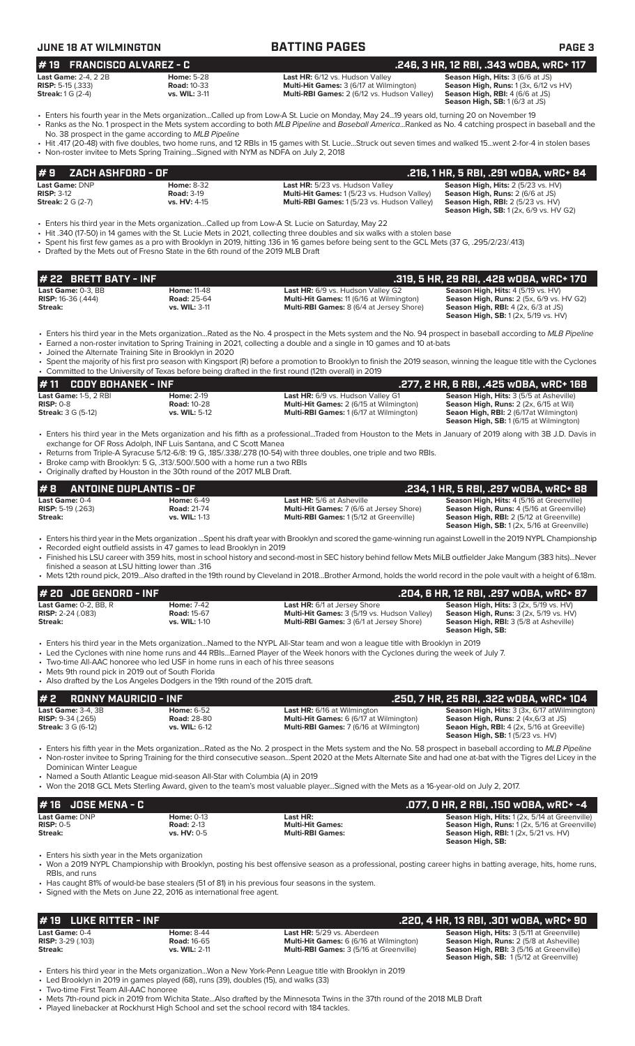| <b>JUNE 18 AT WILMINGTON</b>                                                                                                 |                                                                                                                                                                                                                            | <b>BATTING PAGES</b>                                                                                                                                                                                                                                                                                                                                                             | <b>PAGE 3</b>                                                                                                                                                                             |
|------------------------------------------------------------------------------------------------------------------------------|----------------------------------------------------------------------------------------------------------------------------------------------------------------------------------------------------------------------------|----------------------------------------------------------------------------------------------------------------------------------------------------------------------------------------------------------------------------------------------------------------------------------------------------------------------------------------------------------------------------------|-------------------------------------------------------------------------------------------------------------------------------------------------------------------------------------------|
| <b>FRANCISCO ALVAREZ - C</b><br>#19<br><b>Last Game: 2-4, 2 2B</b><br><b>RISP:</b> 5-15 $(.333)$<br><b>Streak:</b> 1 G (2-4) | <b>Home: 5-28</b><br><b>Road: 10-33</b><br>vs. WIL: 3-11                                                                                                                                                                   | Last HR: 6/12 vs. Hudson Valley<br>Multi-Hit Games: 3 (6/17 at Wilmington)<br>Multi-RBI Games: 2 (6/12 vs. Hudson Valley)                                                                                                                                                                                                                                                        | .246, 3 HR, 12 RBI, .343 wOBA, wRC+ 117<br>Season High, Hits: 3 (6/6 at JS)<br>Season High, Runs: 1 (3x, 6/12 vs HV)<br>Season High, RBI: 4 (6/6 at JS)<br>Season High, SB: 1(6/3 at JS)  |
|                                                                                                                              | No. 38 prospect in the game according to MLB Pipeline                                                                                                                                                                      | • Enters his fourth year in the Mets organizationCalled up from Low-A St. Lucie on Monday, May 2419 years old, turning 20 on November 19<br>• Ranks as the No. 1 prospect in the Mets system according to both MLB Pipeline and Baseball AmericaRanked as No. 4 catching prospect in baseball and the                                                                            |                                                                                                                                                                                           |
|                                                                                                                              | • Non-roster invitee to Mets Spring TrainingSigned with NYM as NDFA on July 2, 2018                                                                                                                                        | • Hit .417 (20-48) with five doubles, two home runs, and 12 RBIs in 15 games with St. LucieStruck out seven times and walked 15went 2-for-4 in stolen bases                                                                                                                                                                                                                      |                                                                                                                                                                                           |
| ZACH ASHFORD - OF<br>#9                                                                                                      |                                                                                                                                                                                                                            |                                                                                                                                                                                                                                                                                                                                                                                  | .216, 1 HR, 5 RBI, .291 wOBA, wRC+ 84                                                                                                                                                     |
| Last Game: DNP<br><b>RISP: 3-12</b><br><b>Streak:</b> 2 G (2-7)                                                              | <b>Home: 8-32</b><br><b>Road: 3-19</b><br>vs. HV: 4-15                                                                                                                                                                     | Last HR: 5/23 vs. Hudson Valley<br>Multi-Hit Games: 1 (5/23 vs. Hudson Valley)<br>Multi-RBI Games: 1 (5/23 vs. Hudson Valley)                                                                                                                                                                                                                                                    | Season High, Hits: 2 (5/23 vs. HV)<br>Season High, Runs: 2 (6/6 at JS)<br><b>Season High, RBI: 2 (5/23 vs. HV)</b><br><b>Season High, SB:</b> 1 (2x, 6/9 vs. HV G2)                       |
|                                                                                                                              | • Drafted by the Mets out of Fresno State in the 6th round of the 2019 MLB Draft                                                                                                                                           | Enters his third year in the Mets organizationCalled up from Low-A St. Lucie on Saturday, May 22 •<br>• Hit .340 (17-50) in 14 games with the St. Lucie Mets in 2021, collecting three doubles and six walks with a stolen base<br>· Spent his first few games as a pro with Brooklyn in 2019, hitting .136 in 16 games before being sent to the GCL Mets (37 G, .295/2/23/.413) |                                                                                                                                                                                           |
| # 22 BRETT BATY - INF                                                                                                        |                                                                                                                                                                                                                            |                                                                                                                                                                                                                                                                                                                                                                                  | .319, 5 HR, 29 RBI, .428 wOBA, wRC+ 170                                                                                                                                                   |
| Last Game: 0-3, BB<br><b>RISP:</b> 16-36 (.444)<br>Streak:                                                                   | <b>Home: 11-48</b><br><b>Road: 25-64</b><br>vs. WIL: 3-11                                                                                                                                                                  | Last HR: 6/9 vs. Hudson Valley G2<br>Multi-Hit Games: 11 (6/16 at Wilmington)<br>Multi-RBI Games: 8 (6/4 at Jersey Shore)                                                                                                                                                                                                                                                        | Season High, Hits: 4 (5/19 vs. HV)<br>Season High, Runs: 2 (5x, 6/9 vs. HV G2)<br><b>Season High, RBI:</b> $4$ (2x, $6/3$ at JS)<br>Season High, SB: 1 (2x, 5/19 vs. HV)                  |
|                                                                                                                              | • Joined the Alternate Training Site in Brooklyn in 2020                                                                                                                                                                   | • Enters his third year in the Mets organizationRated as the No. 4 prospect in the Mets system and the No. 94 prospect in baseball according to MLB Pipeline<br>• Earned a non-roster invitation to Spring Training in 2021, collecting a double and a single in 10 games and 10 at-bats                                                                                         |                                                                                                                                                                                           |
|                                                                                                                              |                                                                                                                                                                                                                            | • Spent the majority of his first pro season with Kingsport (R) before a promotion to Brooklyn to finish the 2019 season, winning the league title with the Cyclones<br>• Committed to the University of Texas before being drafted in the first round (12th overall) in 2019                                                                                                    |                                                                                                                                                                                           |
| #11<br><b>CODY BOHANEK - INF</b>                                                                                             |                                                                                                                                                                                                                            |                                                                                                                                                                                                                                                                                                                                                                                  | .277, 2 HR, 6 RBI, .425 wOBA, wRC+ 168                                                                                                                                                    |
| Last Game: 1-5, 2 RBI<br><b>RISP: 0-8</b><br><b>Streak:</b> 3 G (5-12)                                                       | <b>Home: 2-19</b><br><b>Road: 10-28</b><br>vs. WIL: 5-12                                                                                                                                                                   | Last HR: 6/9 vs. Hudson Valley G1<br>Multi-Hit Games: 2 (6/15 at Wilmington)<br>Multi-RBI Games: 1 (6/17 at Wilmington)                                                                                                                                                                                                                                                          | Season High, Hits: 3 (5/5 at Asheville)<br>Season High, Runs: 2 (2x, 6/15 at Wil)<br>Seaon High, RBI: 2 (6/17at Wilmington)<br>Season High, SB: 1 (6/15 at Wilmington)                    |
|                                                                                                                              | exchange for OF Ross Adolph, INF Luis Santana, and C Scott Manea<br>• Broke camp with Brooklyn: 5 G, .313/.500/.500 with a home run a two RBIs<br>• Originally drafted by Houston in the 30th round of the 2017 MLB Draft. | • Enters his third year in the Mets organization and his fifth as a professionalTraded from Houston to the Mets in January of 2019 along with 3B J.D. Davis in<br>• Returns from Triple-A Syracuse 5/12-6/8: 19 G, 185/.338/.278 (10-54) with three doubles, one triple and two RBIs.                                                                                            |                                                                                                                                                                                           |
| #8<br><b>ANTOINE DUPLANTIS - OF</b>                                                                                          |                                                                                                                                                                                                                            |                                                                                                                                                                                                                                                                                                                                                                                  | .234, 1 HR, 5 RBI, .297 wOBA, wRC+ 88                                                                                                                                                     |
| Last Game: 0-4<br><b>RISP:</b> 5-19 $(.263)$<br>Streak:                                                                      | <b>Home: 6-49</b><br><b>Road: 21-74</b><br>vs. WIL: 1-13                                                                                                                                                                   | Last HR: 5/6 at Asheville<br>Multi-Hit Games: 7 (6/6 at Jersey Shore)<br>Multi-RBI Games: 1 (5/12 at Greenville)                                                                                                                                                                                                                                                                 | Season High, Hits: 4 (5/16 at Greenville)<br>Season High, Runs: 4 (5/16 at Greenville)<br>Season High, RBI: 2 (5/12 at Greenville)<br>Season High, SB: 1 (2x, 5/16 at Greenville)         |
| finished a season at LSU hitting lower than .316                                                                             | • Recorded eight outfield assists in 47 games to lead Brooklyn in 2019                                                                                                                                                     | · Enters his third year in the Mets organization Spent his draft year with Brooklyn and scored the game-winning run against Lowell in the 2019 NYPL Championship<br>• Finished his LSU career with 359 hits, most in school history and second-most in SEC history behind fellow Mets MiLB outfielder Jake Mangum (383 hits)Never                                                |                                                                                                                                                                                           |
| # 20 JOE GENORD - INF                                                                                                        |                                                                                                                                                                                                                            | • Mets 12th round pick, 2019Also drafted in the 19th round by Cleveland in 2018Brother Armond, holds the world record in the pole vault with a height of 6.18m.                                                                                                                                                                                                                  |                                                                                                                                                                                           |
| Last Game: $0-2$ . BB. R                                                                                                     | <b>Home: 7-42</b>                                                                                                                                                                                                          | Last HR: 6/1 at Jersey Shore                                                                                                                                                                                                                                                                                                                                                     | .204, 6 HR, 12 RBI, .297 wOBA, wRC+ 87<br>Season High, Hits: 3 (2x, 5/19 vs. HV)                                                                                                          |
| <b>RISP:</b> $2-24$ (.083)<br>Streak:                                                                                        | <b>Road: 15-67</b><br>vs. WIL: 1-10                                                                                                                                                                                        | Multi-Hit Games: 3 (5/19 vs. Hudson Valley)<br>Multi-RBI Games: 3 (6/1 at Jersey Shore)                                                                                                                                                                                                                                                                                          | Season High, Runs: 3 (2x, 5/19 vs. HV)<br>Season High, RBI: 3 (5/8 at Asheville)<br>Season High, SB:                                                                                      |
| • Mets 9th round pick in 2019 out of South Florida                                                                           | • Two-time All-AAC honoree who led USF in home runs in each of his three seasons<br>• Also drafted by the Los Angeles Dodgers in the 19th round of the 2015 draft.                                                         | · Enters his third year in the Mets organizationNamed to the NYPL All-Star team and won a league title with Brooklyn in 2019<br>• Led the Cyclones with nine home runs and 44 RBIsEarned Player of the Week honors with the Cyclones during the week of July 7.                                                                                                                  |                                                                                                                                                                                           |
| #2<br><b>RONNY MAURICIO - INF</b>                                                                                            |                                                                                                                                                                                                                            |                                                                                                                                                                                                                                                                                                                                                                                  | .250, 7 HR, 25 RBI, .322 wOBA, wRC+ 104                                                                                                                                                   |
| Last Game: 3-4, 3B<br><b>RISP: 9-34 (.265)</b><br><b>Streak:</b> 3 G (6-12)                                                  | Home: 6-52<br><b>Road: 28-80</b><br>vs. WIL: 6-12                                                                                                                                                                          | Last HR: 6/16 at Wilmington<br>Multi-Hit Games: 6 (6/17 at Wilmington)<br>Multi-RBI Games: 7 (6/16 at Wilmington)                                                                                                                                                                                                                                                                | Season High, Hits: 3 (3x, 6/17 at Wilmington)<br><b>Season High, Runs:</b> $2$ (4x, $6/3$ at JS)<br>Seaon High, RBI: 4 (2x, 5/16 at Greeville)<br><b>Season High, SB: 1 (5/23 vs. HV)</b> |
| Dominican Winter League                                                                                                      |                                                                                                                                                                                                                            | • Enters his fifth year in the Mets organizationRated as the No. 2 prospect in the Mets system and the No. 58 prospect in baseball according to MLB Pipeline<br>• Non-roster invitee to Spring Training for the third consecutive seasonSpent 2020 at the Mets Alternate Site and had one at-bat with the Tigres del Licey in the                                                |                                                                                                                                                                                           |
|                                                                                                                              | • Named a South Atlantic League mid-season All-Star with Columbia (A) in 2019                                                                                                                                              | • Won the 2018 GCL Mets Sterling Award, given to the team's most valuable playerSigned with the Mets as a 16-year-old on July 2, 2017.                                                                                                                                                                                                                                           |                                                                                                                                                                                           |
| #16 JOSE MENA - C                                                                                                            |                                                                                                                                                                                                                            |                                                                                                                                                                                                                                                                                                                                                                                  | .077, 0 HR, 2 RBI, .150 w0BA, wRC+ -4                                                                                                                                                     |
| Last Game: DNP<br><b>RISP: 0-5</b><br>Streak:                                                                                | <b>Home: 0-13</b><br><b>Road: 2-13</b><br>vs. HV: 0-5                                                                                                                                                                      | Last HR:<br><b>Multi-Hit Games:</b><br><b>Multi-RBI Games:</b>                                                                                                                                                                                                                                                                                                                   | Season High, Hits: 1 (2x, 5/14 at Greenville)<br>Season High, Runs: 1 (2x, 5/16 at Greenville)<br><b>Season High, RBI:</b> 1 (2x, 5/21 vs. HV)<br>Season High, SB:                        |
| • Enters his sixth year in the Mets organization<br>RBIs, and runs                                                           |                                                                                                                                                                                                                            | • Won a 2019 NYPL Championship with Brooklyn, posting his best offensive season as a professional, posting career highs in batting average, hits, home runs,<br>• Has caught 81% of would-be base stealers (51 of 81) in his previous four seasons in the system.                                                                                                                |                                                                                                                                                                                           |
|                                                                                                                              | • Signed with the Mets on June 22, 2016 as international free agent.                                                                                                                                                       |                                                                                                                                                                                                                                                                                                                                                                                  |                                                                                                                                                                                           |
| <b>LUKE RITTER - INF</b><br># 19                                                                                             |                                                                                                                                                                                                                            |                                                                                                                                                                                                                                                                                                                                                                                  | .220, 4 HR, 13 RBI, .301 wOBA, wRC+ 90                                                                                                                                                    |
| Last Game: 0-4<br>RISP: 3-29 (.103)<br>Streak:                                                                               | <b>Home: 8-44</b><br><b>Road: 16-65</b><br>vs. WIL: 2-11                                                                                                                                                                   | Last HR: 5/29 vs. Aberdeen<br>Multi-Hit Games: 6 (6/16 at Wilmington)<br>Multi-RBI Games: 3 (5/16 at Greenville)                                                                                                                                                                                                                                                                 | Season High, Hits: 3 (5/11 at Greenville)<br>Season High, Runs: 2 (5/8 at Asheville)<br>Season High, RBI: 3 (5/16 at Greenville)                                                          |

• Enters his third year in the Mets organization...Won a New York-Penn League title with Brooklyn in 2019

• Led Brooklyn in 2019 in games played (68), runs (39), doubles (15), and walks (33)

• Two-time First Team All-AAC honoree

• Mets 7th-round pick in 2019 from Wichita State...Also drafted by the Minnesota Twins in the 37th round of the 2018 MLB Draft • Played linebacker at Rockhurst High School and set the school record with 184 tackles.

**Season High, Hits: 3 (5/11 at Greenville)**<br>**Season High, Runs: 2 (5/8 at Asheville)**<br>**Season High, RBI: 3 (5/16 at Greenville)**<br>**Season High, SB:** 1 (5/12 at Greenville)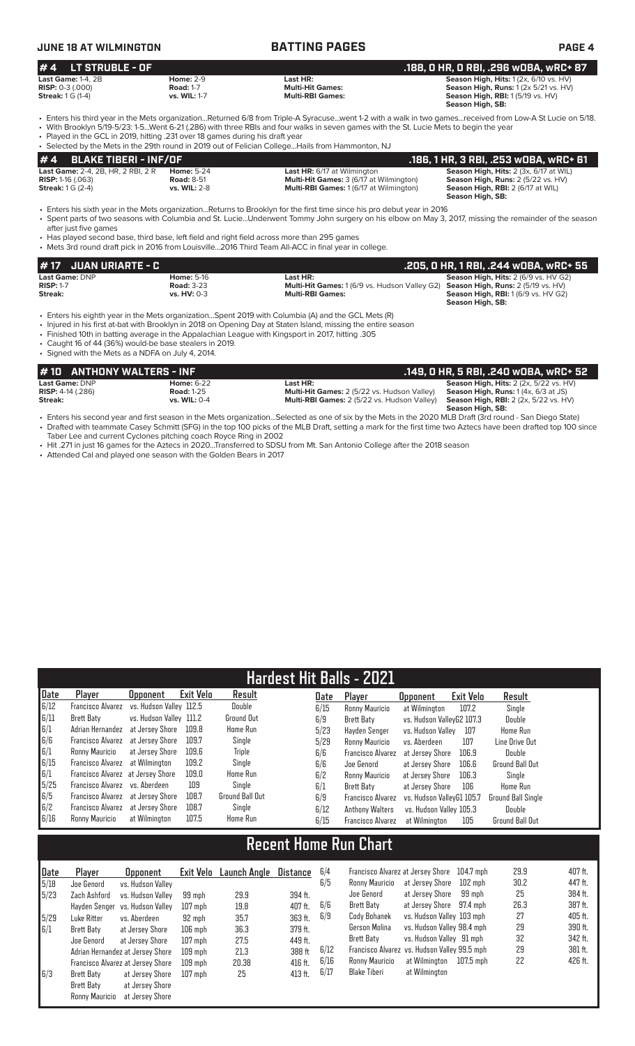# **JUNE 18 AT WILMINGTON BATTING PAGES PAGE 4**

### **# 4 LT STRUBLE - OF .188, 0 HR, 0 RBI, .296 wOBA, wRC+ 87 Last Game:** 1-4, 2B **Home:** 2-9 **Last HR: Season High, Hits:** 1 (2x, 6/10 vs. HV) **RISP:** 0-3 (.000) **Road:** 1-7 **Multi-Hit Games: Season High, Runs:** 1 (2x 5/21 vs. HV) **Streak:** 1 G (1-4) **vs. WIL:** 1-7 **Multi-RBI Games: Season High, RBI:** 1 (5/19 vs. HV) **Season High, SB:**  • Enters his third year in the Mets organization...Returned 6/8 from Triple-A Syracuse...went 1-2 with a walk in two games...received from Low-A St Lucie on 5/18. • With Brooklyn 5/19-5/23: 1-5...Went 6-21 (.286) with three RBIs and four walks in seven games with the St. Lucie Mets to begin the year

• Played in the GCL in 2019, hitting .231 over 18 games during his draft year

• Selected by the Mets in the 29th round in 2019 out of Felician College...Hails from Hammonton, NJ

|                                           |                     | . Selected by the Mets in the Z9th found in 2019 out of Felician CollegeHalls from Hammonton, NJ |                                               |
|-------------------------------------------|---------------------|--------------------------------------------------------------------------------------------------|-----------------------------------------------|
| $# 4$ BLAKE TIBERI - INF/OF               |                     |                                                                                                  | . 186, 1 HR, 3 RBI, .253 wOBA, wRC+ 61        |
| <b>Last Game: 2-4, 2B, HR, 2 RBI, 2 R</b> | <b>Home:</b> 5-24   | <b>Last HR:</b> 6/17 at Wilmington                                                               | <b>Season High, Hits: 2 (3x, 6/17 at WIL)</b> |
| <b>RISP:</b> 1-16 $(.063)$                | <b>Road: 8-51</b>   | <b>Multi-Hit Games: 3 (6/17 at Wilmington)</b>                                                   | Season High, Runs: 2 (5/22 vs. HV)            |
| <b>Streak:</b> $1 G (2-4)$                | <b>vs. WIL: 2-8</b> | <b>Multi-RBI Games: 1 (6/17 at Wilmington)</b>                                                   | <b>Season High, RBI:</b> 2 (6/17 at WIL)      |
|                                           |                     |                                                                                                  | Concept High CD.                              |

 **Season High, SB:**  • Enters his sixth year in the Mets organization...Returns to Brooklyn for the first time since his pro debut year in 2016 • Spent parts of two seasons with Columbia and St. Lucie...Underwent Tommy John surgery on his elbow on May 3, 2017, missing the remainder of the season

after just five games • Has played second base, third base, left field and right field across more than 295 games

• Mets 3rd round draft pick in 2016 from Louisville...2016 Third Team All-ACC in final year in college.

| <i>H</i> 17 JUAN URIARTE - C |                    |                                                                                                | .205, 0 HR, 1 RBI, .244 w0BA, wRC+ 55                          |
|------------------------------|--------------------|------------------------------------------------------------------------------------------------|----------------------------------------------------------------|
| <b>Last Game: DNP</b>        | <b>Home: 5-16</b>  | Last HR:                                                                                       | <b>Season High, Hits: 2 (6/9 vs. HV G2)</b>                    |
| <b>RISP: 1-7</b>             | <b>Road: 3-23</b>  | <b>Multi-Hit Games:</b> 1 (6/9 vs. Hudson Valley G2) <b>Season High, Runs:</b> 2 (5/19 vs. HV) |                                                                |
| Streak:                      | <b>vs. HV: 0-3</b> | <b>Multi-RBI Games:</b>                                                                        | <b>Season High, RBI:</b> 1 (6/9 vs. HV G2)<br>Season High, SB: |

- Enters his eighth year in the Mets organization...Spent 2019 with Columbia (A) and the GCL Mets (R)
- Injured in his first at-bat with Brooklyn in 2018 on Opening Day at Staten Island, missing the entire season

• Finished 10th in batting average in the Appalachian League with Kingsport in 2017, hitting .305

• Caught 16 of 44 (36%) would-be base stealers in 2019. • Signed with the Mets as a NDFA on July 4, 2014.

| #10 ANTHONY WALTERS - INF  |                     |                                                    | .149, 0 HR, 5 RBI, .240 w0BA, wRC+ 52                    |
|----------------------------|---------------------|----------------------------------------------------|----------------------------------------------------------|
| Last Game: DNP             | <b>Home: 6-22</b>   | Last HR: .                                         | <b>Season High, Hits:</b> $2$ ( $2x$ , $5/22$ vs. $HV$ ) |
| <b>RISP:</b> $4-14$ (.286) | <b>Road: 1-25</b>   | <b>Multi-Hit Games:</b> 2 (5/22 vs. Hudson Valley) | <b>Season High, Runs:</b> $1(4x, 6/3$ at JS)             |
| Streak:                    | <b>vs. WIL: 0-4</b> | Multi-RBI Games: 2 (5/22 vs. Hudson Valley)        | <b>Season High, RBI:</b> 2 (2x, 5/22 vs. HV)             |
|                            |                     |                                                    | Season High, SB:                                         |

- Enters his second year and first season in the Mets organization...Selected as one of six by the Mets in the 2020 MLB Draft (3rd round San Diego State) • Drafted with teammate Casey Schmitt (SFG) in the top 100 picks of the MLB Draft, setting a mark for the first time two Aztecs have been drafted top 100 since Taber Lee and current Cyclones pitching coach Royce Ring in 2002
- Hit .271 in just 16 games for the Aztecs in 2020...Transferred to SDSU from Mt. San Antonio College after the 2018 season
- Attended Cal and played one season with the Golden Bears in 2017

| <b>Hardest Hit Balls - 2021</b> |                                   |                         |           |                   |      |                          |                           |           |                    |
|---------------------------------|-----------------------------------|-------------------------|-----------|-------------------|------|--------------------------|---------------------------|-----------|--------------------|
| Date                            | Player                            | <b>Opponent</b>         | Exit Velo | Result            | Date | Player                   | <b>Opponent</b>           | Exit Velo | Result             |
| 6/12                            | <b>Francisco Alvarez</b>          | vs. Hudson Vallev 112.5 |           | Double            | 6/15 | Ronny Mauricio           | at Wilmington             | 107.2     | Single             |
| 6/11                            | <b>Brett Baty</b>                 | vs. Hudson Valley 111.2 |           | <b>Ground Out</b> | 6/9  | Brett Baty               | vs. Hudson ValleyG2 107.3 |           | Double             |
| 6/1                             | Adrian Hernandez                  | at Jersev Shore         | 109.8     | <b>Home Run</b>   | 5/23 | Havden Senger            | vs. Hudson Vallev         | 107       | <b>Home Run</b>    |
| 6/6                             | Francisco Alvarez                 | at Jersey Shore         | 109.7     | Single            | 5/29 | Ronny Mauricio           | vs. Aberdeen              | 107       | Line Drive Out     |
| 6/1                             | Ronny Mauricio                    | at Jersey Shore         | 109.6     | Triple            | 6/6  | <b>Francisco Alvarez</b> | at Jersev Shore           | 106.9     | Double             |
| 6/15                            | Francisco Alvarez                 | at Wilmington           | 109.2     | Single            | 6/6  | Joe Genord               | at Jersey Shore           | 106.6     | Ground Ball Out    |
| $\vert 6/1$                     | Francisco Alvarez at Jersey Shore |                         | 109.0     | Home Run          | 6/2  | Ronny Mauricio           | at Jersey Shore           | 106.3     | Single             |
| 5/25                            | Francisco Alvarez vs. Aberdeen    |                         | 109       | Sinale            | 6/1  | Brett Baty               | at Jersey Shore           | 106       | <b>Home Run</b>    |
| 6/5                             | Francisco Alvarez at Jersey Shore |                         | 108.7     | Ground Ball Out   | 6/9  | Francisco Alvarez        | vs. Hudson VallevG1 105.7 |           | Ground Ball Single |
| 6/2                             | Francisco Alvarez at Jersey Shore |                         | 108.7     | Single            | 6/12 | <b>Anthony Walters</b>   | vs. Hudson Valley 105.3   |           | Double             |
| 6/16                            | Ronny Mauricio                    | at Wilmington           | 107.5     | Home Run          | 6/15 | <b>Francisco Alvarez</b> | at Wilmington             | 105       | Ground Ball Out    |

# **Recent Home Run Chart**

| Date | Plaver            | <b>Opponent</b>                   | Exit Velo | Launch Anole | Distance | 6/4  | Francisco Alvarez at Jersey Shore            |                            | 104.7 mph   | 29.9 | 407 ft. |
|------|-------------------|-----------------------------------|-----------|--------------|----------|------|----------------------------------------------|----------------------------|-------------|------|---------|
| 5/18 | Joe Genord        | vs. Hudson Valley                 |           |              |          | 6/5  | Ronny Mauricio                               | at Jersey Shore            | 102 mph     | 30.2 | 447 ft. |
| 5/23 | Zach Ashford      | vs. Hudson Vallev                 | 99 mph    | 29.9         | 394 ft.  |      | Joe Genord                                   | at Jersey Shore            | 99 mph      | 25   | 384 ft. |
|      | Hayden Senger     | vs. Hudson Vallev                 | $107$ mph | 19.8         | 407 ft.  | 6/6  | Brett Baty                                   | at Jersey Shore            | 97.4 mph    | 26.3 | 387 ft. |
| 5/29 | Luke Ritter       | vs. Aberdeen                      | 92 mph    | 35.7         | 363 ft.  | 6/9  | Cody Bohanek                                 | vs. Hudson Valley 103 mph  |             | 27   | 405 ft. |
| 6/1  | Brett Baty        | at Jersey Shore                   | $106$ mph | 36.3         | 379 ft.  |      | Gerson Molina                                | vs. Hudson Valley 98.4 mph |             | 29   | 390 ft. |
|      | Joe Genord        | at Jersev Shore                   | $107$ mph | 27.5         | 449 ft.  |      | Brett Baty                                   | vs. Hudson Valley 91 mph   |             | 32   | 342 ft. |
|      |                   | Adrian Hernandez at Jersey Shore  | $109$ mph | 21.3         | 388 ft   | 6/12 | Francisco Alvarez vs. Hudson Valley 99.5 mph |                            |             | 29   | 381 ft. |
|      |                   | Francisco Alvarez at Jersey Shore | $109$ mph | 20.38        | 416 ft.  | 6/16 | Ronny Mauricio                               | at Wilmington              | $107.5$ mph | 22   | 426 ft. |
| 6/3  | <b>Brett Baty</b> | at Jersey Shore                   | $107$ mph | 25           | 413 ft.  | 6/17 | Blake Tiberi                                 | at Wilmington              |             |      |         |
|      | Brett Baty        | at Jersey Shore                   |           |              |          |      |                                              |                            |             |      |         |
|      | Ronny Mauricio    | at Jersev Shore                   |           |              |          |      |                                              |                            |             |      |         |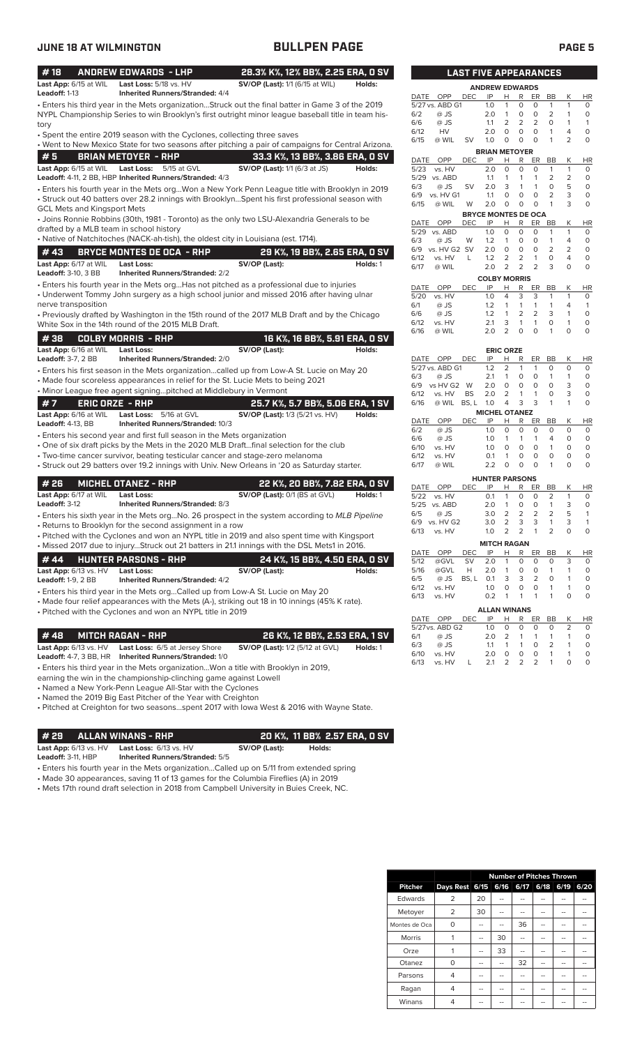| <b>JUNE 18 AT WILMINGTON</b>            |                                                                                                                                                                                                         | <b>BULLPEN PAGE</b>                    |          |                     |                         |                              |                                  |                                  |                             |                           |                                | <b>PAGE 5</b>            |                         |  |
|-----------------------------------------|---------------------------------------------------------------------------------------------------------------------------------------------------------------------------------------------------------|----------------------------------------|----------|---------------------|-------------------------|------------------------------|----------------------------------|----------------------------------|-----------------------------|---------------------------|--------------------------------|--------------------------|-------------------------|--|
| #18                                     | <b>ANDREW EDWARDS - LHP</b>                                                                                                                                                                             | 28.3% K%, 12% BB%, 2.25 ERA, 0 SV      |          |                     |                         | <b>LAST FIVE APPEARANCES</b> |                                  |                                  |                             |                           |                                |                          |                         |  |
| Last App: 6/15 at WIL                   | Last Loss: 5/18 vs. HV                                                                                                                                                                                  | SV/OP (Last): 1/1 (6/15 at WIL)        | Holds:   |                     |                         |                              | <b>ANDREW EDWARDS</b>            |                                  |                             |                           |                                |                          |                         |  |
| Leadoff: 1-13                           | <b>Inherited Runners/Stranded: 4/4</b>                                                                                                                                                                  |                                        |          | DATE OPP            |                         | <b>DEC</b>                   | IP                               | H                                | R                           | ER                        | BB                             | K                        | <b>HR</b>               |  |
|                                         | • Enters his third year in the Mets organizationStruck out the final batter in Game 3 of the 2019<br>NYPL Championship Series to win Brooklyn's first outright minor league baseball title in team his- |                                        |          | 6/2                 | 5/27 vs. ABD G1<br>@ JS |                              | 1.0<br>2.0                       | $\mathbf{1}$<br>$\overline{1}$   | 0<br>0                      | 0<br>$\circ$              | $\mathbf{1}$<br>$\overline{2}$ | $\mathbf{1}$<br>1        | 0<br>$\circ$            |  |
| tory                                    |                                                                                                                                                                                                         |                                        |          | 6/6                 | @ JS                    |                              | 1.1                              | 2                                | 2                           | 2                         | $\circ$                        | $\mathbf{1}$             | $\mathbf{1}$            |  |
|                                         | • Spent the entire 2019 season with the Cyclones, collecting three saves                                                                                                                                |                                        |          | 6/12                | HV                      |                              | 2.0                              | $\circ$                          | 0                           | $\circ$                   | $\mathbf{1}$                   | 4                        | $\circ$                 |  |
|                                         | . Went to New Mexico State for two seasons after pitching a pair of campaigns for Central Arizona.                                                                                                      |                                        |          | 6/15                | @ WIL                   | <b>SV</b>                    | 1.0                              | $\circ$                          | 0                           | $\circ$                   | $\mathbf{1}$                   | $\overline{2}$           | $\circ$                 |  |
| #5                                      | <b>BRIAN METOYER - RHP</b>                                                                                                                                                                              | 33.3 K%, 13 BB%, 3.86 ERA, 0 SV        |          |                     |                         |                              | <b>BRIAN METOYER</b>             |                                  |                             |                           |                                |                          |                         |  |
|                                         | Last App: 6/15 at WIL Last Loss: 5/15 at GVL                                                                                                                                                            | SV/OP (Last): 1/1 (6/3 at JS)          | Holds:   | DATE<br>5/23        | OPP<br>vs. HV           | <b>DEC</b>                   | IP<br>2.0                        | Н<br>$\mathbf 0$                 | R<br>$\circ$                | ER<br>$\circ$             | BB<br>$\mathbf{1}$             | К<br>$\mathbf{1}$        | HR<br>$\circ$           |  |
|                                         | Leadoff: 4-11, 2 BB, HBP Inherited Runners/Stranded: 4/3                                                                                                                                                |                                        |          | 5/29 vs. ABD        |                         |                              | 1.1                              | 1                                | $\mathbf{1}$                | $\mathbf{1}$              | 2                              | 2                        | $\circ$                 |  |
|                                         | Enters his fourth year in the Mets orgWon a New York Penn League title with Brooklyn in 2019                                                                                                            |                                        |          | 6/3                 | @ JS                    | SV                           | 2.0                              | 3                                | $\mathbf{1}$                | $\mathbf{1}$              | $\mathbf 0$                    | 5                        | $\circ$                 |  |
|                                         | • Struck out 40 batters over 28.2 innings with BrooklynSpent his first professional season with                                                                                                         |                                        |          |                     | 6/9 vs. HV G1           |                              | 1.1                              | 0                                | $\circ$                     | $\mathbf 0$               | $\overline{2}$                 | 3                        | $\circ$                 |  |
| <b>GCL Mets and Kingsport Mets</b>      |                                                                                                                                                                                                         |                                        |          | 6/15                | @ WIL                   | W                            | 2.0                              | $\circ$                          | $\circ$                     | $\circ$                   | $\mathbf{1}$                   | 3                        | $\circ$                 |  |
|                                         | • Joins Ronnie Robbins (30th, 1981 - Toronto) as the only two LSU-Alexandria Generals to be                                                                                                             |                                        |          | DATE                | OPP                     | <b>DEC</b>                   | <b>BRYCE MONTES DE OCA</b><br>IP | H                                | R                           | ER                        | BB                             | К                        | <b>HR</b>               |  |
| drafted by a MLB team in school history |                                                                                                                                                                                                         |                                        |          | 5/29 vs. ABD        |                         |                              | 1.0                              | $\circ$                          | 0                           | 0                         | 1                              | $\mathbf{1}$             | 0                       |  |
|                                         | • Native of Natchitoches (NACK-ah-tish), the oldest city in Louisiana (est. 1714).                                                                                                                      |                                        |          | 6/3                 | @ JS                    | W                            | 1.2                              | $\mathbf{1}$                     | $\circ$                     | $\circ$                   | $\mathbf{1}$                   | 4                        | $\circ$                 |  |
| #43                                     | <b>BRYCE MONTES DE OCA - RHP</b>                                                                                                                                                                        | 29 K%, 19 BB%, 2.65 ERA, 0 SV          |          | 6/9                 | vs. HV G2 SV            |                              | 2.0                              | $\circ$                          | 0                           | $\circ$                   | $\overline{2}$                 | 2                        | $\circ$                 |  |
| Last App: 6/17 at WIL                   | <b>Last Loss:</b>                                                                                                                                                                                       | SV/OP (Last):                          | Holds: 1 | 6/12                | vs. HV<br>@ WIL         | L                            | 1.2<br>2.0                       | 2<br>2                           | 2<br>2                      | $\mathbf{1}$<br>2         | 0<br>3                         | 4<br>$\circ$             | $\circ$<br>$\circ$      |  |
| Leadoff: 3-10, 3 BB                     | <b>Inherited Runners/Stranded: 2/2</b>                                                                                                                                                                  |                                        |          | 6/17                |                         |                              |                                  |                                  |                             |                           |                                |                          |                         |  |
|                                         | • Enters his fourth year in the Mets org Has not pitched as a professional due to injuries                                                                                                              |                                        |          | DATE                | OPP                     | <b>DEC</b>                   | <b>COLBY MORRIS</b><br>IP        | н                                | R                           | ER                        | BB                             | К                        | HR                      |  |
|                                         | • Underwent Tommy John surgery as a high school junior and missed 2016 after having ulnar                                                                                                               |                                        |          | 5/20                | vs. HV                  |                              | 1.0                              | 4                                | 3                           | 3                         | 1                              | 1                        | $\circ$                 |  |
| nerve transposition                     |                                                                                                                                                                                                         |                                        |          | 6/1                 | @ JS                    |                              | 1.2                              | $\mathbf{1}$                     | $\mathbf{1}$                | $\mathbf{1}$              | $\mathbf{1}$                   | 4                        | $\mathbf{1}$            |  |
|                                         | • Previously drafted by Washington in the 15th round of the 2017 MLB Draft and by the Chicago                                                                                                           |                                        |          | 6/6                 | @ JS                    |                              | 1.2                              | $\mathbf{1}$                     | 2                           | 2                         | 3                              | $\mathbf{1}$             | $\circ$                 |  |
|                                         | White Sox in the 14th round of the 2015 MLB Draft.                                                                                                                                                      |                                        |          | 6/12                | vs. HV                  |                              | 2.1                              | 3<br>$\overline{2}$              | $\mathbf{1}$<br>$\circ$     | $\mathbf{1}$<br>$\circ$   | $\circ$<br>$\mathbf{1}$        | $\mathbf{1}$<br>$\Omega$ | $\circ$<br>$\circ$      |  |
| #38                                     | <b>COLBY MORRIS - RHP</b>                                                                                                                                                                               | 16 K%, 16 BB%, 5.91 ERA, 0 SV          |          | 6/16                | @ WIL                   |                              | 2.0                              |                                  |                             |                           |                                |                          |                         |  |
| Last App: 6/16 at WIL Last Loss:        |                                                                                                                                                                                                         | SV/OP (Last):                          | Holds:   |                     |                         |                              |                                  | <b>ERIC ORZE</b>                 |                             |                           |                                |                          |                         |  |
| <b>Leadoff: 3-7, 2 BB</b>               | <b>Inherited Runners/Stranded: 2/0</b>                                                                                                                                                                  |                                        |          | DATE OPP            |                         | <b>DEC</b>                   | IP                               | н                                | R                           | ER BB                     |                                | К                        | HR                      |  |
|                                         | • Enters his first season in the Mets organizationcalled up from Low-A St. Lucie on May 20                                                                                                              |                                        |          |                     | 5/27 vs. ABD G1         |                              | 1.2                              | $\overline{2}$                   | $\mathbf{1}$                | $\mathbf{1}$              | $\circ$                        | $\circ$                  | $\circ$                 |  |
|                                         | • Made four scoreless appearances in relief for the St. Lucie Mets to being 2021                                                                                                                        |                                        |          | 6/3                 | @ JS<br>vs HV G2 W      |                              | 2.1<br>2.0                       | $\mathbf{1}$<br>$\circ$          | 0<br>0                      | 0<br>$\circ$              | $\mathbf{1}$<br>$\circ$        | $\mathbf{1}$<br>3        | $\circ$<br>$\circ$      |  |
|                                         | • Minor League free agent signingpitched at Middlebury in Vermont                                                                                                                                       |                                        |          | 6/9<br>6/12         | vs. HV                  | <b>BS</b>                    | 2.0                              | 2                                | $\mathbf{1}$                | $\mathbf{1}$              | O                              | 3                        | $\circ$                 |  |
| #7                                      | <b>ERIC ORZE - RHP</b>                                                                                                                                                                                  | 25.7 K%, 5.7 BB%, 5.06 ERA, 1 SV       |          | 6/16                | @ WIL BS, L 1.0         |                              |                                  | 4                                | 3                           | 3                         | 1                              | 1                        | $\circ$                 |  |
| Last App: 6/16 at WIL                   | Last Loss: 5/16 at GVL                                                                                                                                                                                  | <b>SV/OP (Last):</b> 1/3 (5/21 vs. HV) | Holds:   |                     |                         |                              | <b>MICHEL OTANEZ</b>             |                                  |                             |                           |                                |                          |                         |  |
| <b>Leadoff: 4-13, BB</b>                | Inherited Runners/Stranded: 10/3                                                                                                                                                                        |                                        |          | DATE                | OPP                     | <b>DEC</b>                   | IP                               | Н                                | R                           | ER                        | BB                             | К                        | HR                      |  |
|                                         | • Enters his second year and first full season in the Mets organization                                                                                                                                 |                                        |          | 6/2<br>6/6          | @ JS<br>@ JS            |                              | 1.0<br>1.0                       | $\circ$<br>$\mathbf{1}$          | $\circ$<br>$\mathbf{1}$     | $\circ$<br>$\mathbf{1}$   | $\circ$<br>4                   | $\circ$<br>0             | $\circ$<br>$\circ$      |  |
|                                         | . One of six draft picks by the Mets in the 2020 MLB Draftfinal selection for the club                                                                                                                  |                                        |          | 6/10                | vs. HV                  |                              | 1.0                              | $\circ$                          | $\mathbf 0$                 | $\mathsf O$               | $\mathbf{1}$                   | $\circ$                  | $\circ$                 |  |
|                                         | • Two-time cancer survivor, beating testicular cancer and stage-zero melanoma                                                                                                                           |                                        |          | 6/12                | vs. HV                  |                              | 0.1                              | $\mathbf{1}$                     | $\circ$                     | $\circ$                   | $\mathbf 0$                    | 0                        | $\circ$                 |  |
|                                         | • Struck out 29 batters over 19.2 innings with Univ. New Orleans in '20 as Saturday starter.                                                                                                            |                                        |          | 6/17                | @ WIL                   |                              | 2.2                              | $\circ$                          | $\circ$                     | $\circ$                   | $\mathbf{1}$                   | $\Omega$                 | $\circ$                 |  |
|                                         |                                                                                                                                                                                                         |                                        |          |                     |                         |                              | <b>HUNTER PARSONS</b>            |                                  |                             |                           |                                |                          |                         |  |
| # 26                                    | <b>MICHEL OTANEZ - RHP</b>                                                                                                                                                                              | 22 K%, 20 BB%, 7.82 ERA, 0 SV          |          | DATE                | OPP                     | <b>DEC</b>                   | IP                               | н                                | R                           | ER                        | BB                             | Κ                        | HR                      |  |
| Last App: 6/17 at WIL<br>Leadoff: 3-12  | <b>Last Loss:</b><br><b>Inherited Runners/Stranded: 8/3</b>                                                                                                                                             | SV/OP (Last): 0/1 (BS at GVL)          | Holds: 1 | 5/22 vs. HV         |                         |                              | 0.1                              | $\overline{1}$<br>$\overline{1}$ | $\circ$                     | $\circ$                   | 2                              | $\mathbf{1}$             | $\circ$                 |  |
|                                         |                                                                                                                                                                                                         |                                        |          | 5/25 vs. ABD<br>6/5 | $@$ JS                  |                              | 2.0<br>3.0                       | 2                                | $\circ$<br>$\overline{2}$   | $\circ$<br>$\overline{2}$ | 1<br>2                         | 3<br>5                   | $\circ$<br>$\mathbf{1}$ |  |
|                                         | • Enters his sixth year in the Mets orgNo. 26 prospect in the system according to MLB Pipeline                                                                                                          |                                        |          |                     | 6/9 vs. HV G2           |                              | 3.0                              | $\overline{2}$                   | 3                           | 3                         | $\mathbf{1}$                   | 3                        | $\mathbf{1}$            |  |
|                                         | • Returns to Brooklyn for the second assignment in a row<br>• Pitched with the Cyclones and won an NYPL title in 2019 and also spent time with Kingsport                                                |                                        |          | 6/13                | vs. HV                  |                              | 1.0                              | $\overline{2}$                   | $\overline{2}$              | $\mathbf{1}$              | $\overline{2}$                 | 0                        | $\circ$                 |  |
|                                         | . Missed 2017 due to injuryStruck out 21 batters in 21.1 innings with the DSL Mets1 in 2016.                                                                                                            |                                        |          |                     |                         |                              | <b>MITCH RAGAN</b>               |                                  |                             |                           |                                |                          |                         |  |
|                                         |                                                                                                                                                                                                         |                                        |          | DATE                | OPP                     | DEC                          | IP                               | <u>H</u>                         | $\mathsf{R}$                | ER                        | BB                             | К                        | HR                      |  |
| #44                                     | <b>HUNTER PARSONS - RHP</b>                                                                                                                                                                             | 24 K%, 15 BB%, 4.50 ERA, 0 SV          |          | 5/12                | @GVL                    | SV                           | 2.0                              | -1                               | 0                           | 0                         | 0                              | 3                        | 0                       |  |
| Last App: 6/13 vs. HV                   | <b>Last Loss:</b>                                                                                                                                                                                       | SV/OP (Last):                          | Holds:   | 5/16<br>6/5         | @GVL<br>@ JS            | Н<br>BS, L                   | 2.0<br>0.1                       | $\overline{1}$<br>3              | 0<br>3                      | 0<br>$\overline{2}$       | 1<br>0                         | 1<br>1                   | 0<br>0                  |  |
| <b>Leadoff: 1-9, 2 BB</b>               | Inherited Runners/Stranded: 4/2                                                                                                                                                                         |                                        |          | 6/12                | vs. HV                  |                              | 1.0                              | 0                                | 0                           | 0                         | $\mathbf{1}$                   | 1                        | 0                       |  |
|                                         | • Enters his third year in the Mets orgCalled up from Low-A St. Lucie on May 20                                                                                                                         |                                        |          | 6/13                | vs. HV                  |                              | 0.2                              | $\overline{1}$                   | $\mathbf{1}$                | $\mathbf{1}$              | $\mathbf{1}$                   | 0                        | $\circ$                 |  |
|                                         | • Made four relief appearances with the Mets (A-), striking out 18 in 10 innings (45% K rate).                                                                                                          |                                        |          |                     |                         |                              | <b>ALLAN WINANS</b>              |                                  |                             |                           |                                |                          |                         |  |
|                                         | • Pitched with the Cyclones and won an NYPL title in 2019                                                                                                                                               |                                        |          | DATE OPP            |                         | DEC                          | IP                               | Н                                | R                           | ER                        | BB                             | Κ                        | HR                      |  |
|                                         |                                                                                                                                                                                                         |                                        |          |                     | 5/27 vs. ABD G2         |                              | 1.0                              | 0                                | 0                           | 0                         | 0                              | 2                        | 0                       |  |
| #48                                     | <b>MITCH RAGAN - RHP</b>                                                                                                                                                                                | 26 K%, 12 BB%, 2.53 ERA, 1 SV          |          | 6/1                 | @ JS                    |                              | 2.0                              | 2                                | 1                           | $\mathbf{1}$              | 1                              | 1                        | 0                       |  |
| Last App: 6/13 vs. HV                   | Last Loss: 6/5 at Jersey Shore                                                                                                                                                                          | <b>SV/OP (Last):</b> 1/2 (5/12 at GVL) | Holds: 1 | 6/3<br>6/10         | @ JS<br>vs. HV          |                              | 1.1<br>2.0                       | $\mathbf{1}$<br>$\circ$          | $\mathbf{1}$<br>$\mathsf O$ | 0<br>$\circ$              | 2<br>$\mathbf{1}$              | 1<br>1                   | 0<br>0                  |  |
|                                         | Leadoff: 4-7, 3 BB, HR Inherited Runners/Stranded: 1/0                                                                                                                                                  |                                        |          |                     |                         |                              |                                  |                                  |                             |                           |                                |                          |                         |  |

• Enters his third year in the Mets organization...Won a title with Brooklyn in 2019,

earning the win in the championship-clinching game against Lowell

• Named a New York-Penn League All-Star with the Cyclones

• Named the 2019 Big East Pitcher of the Year with Creighton

• Pitched at Creighton for two seasons...spent 2017 with Iowa West & 2016 with Wayne State.

**# 29 ALLAN WINANS - RHP 20 K%, 11 BB% 2.57 ERA, 0 SV**<br>
Last App: 6/13 vs. HV Last Loss: 6/13 vs. HV **SV/OP (Last):** Holds:

**Last App:** 6/13 vs. HV **Last Loss:** 6/13 vs. HV **SV/OP (Last): Holds: Leadoff:** 3-11, HBP **Inherited Runners/Stranded:** 5/5

• Enters his fourth year in the Mets organization...Called up on 5/11 from extended spring

• Made 30 appearances, saving 11 of 13 games for the Columbia Fireflies (A) in 2019 • Mets 17th round draft selection in 2018 from Campbell University in Buies Creek, NC.

|                                  | <b>LAST FIVE APPEARANCES</b> |                            |                |                         |                     |                     |                     |                      |  |
|----------------------------------|------------------------------|----------------------------|----------------|-------------------------|---------------------|---------------------|---------------------|----------------------|--|
|                                  |                              | <b>ANDREW EDWARDS</b>      |                |                         |                     |                     |                     |                      |  |
| OPP<br>DATE                      | DEC                          | IP                         | н              | R                       | ER                  | BB                  | Κ                   | HR                   |  |
| 5/27 vs. ABD G1                  |                              | 1.0                        | 1              | 0                       | $\circ$             | 1                   | 1                   | 0                    |  |
| 6/2<br>@ JS                      |                              | 2.0                        | 1              | 0                       | 0                   | 2                   | 1                   | 0                    |  |
| $@$ JS<br>6/6                    |                              | 1.1                        | 2              | $\overline{2}$          | $\overline{2}$      | $\Omega$            | 1                   | 1                    |  |
| 6/12<br>HV                       |                              | 2.0                        | 0              | 0                       | 0                   | 1                   | 4                   | 0                    |  |
| 6/15<br>@ WIL                    | SV                           | 1.0                        | 0              | 0                       | $\circ$             | 1                   | $\overline{2}$      | O                    |  |
|                                  |                              | <b>BRIAN METOYER</b>       |                |                         |                     |                     |                     |                      |  |
| OPP<br><b>DATE</b>               | <b>DEC</b>                   | IP                         | Н              | R                       | ER                  | <b>BB</b>           | К                   | <b>HR</b>            |  |
| 5/23<br>vs. HV                   |                              | 2.0<br>1.1                 | 0<br>1         | 0<br>1                  | 0<br>1              | 1<br>$\overline{2}$ | 1<br>$\overline{2}$ | 0                    |  |
| 5/29<br>vs. ABD<br>@ JS<br>6/3   | SV                           | 2.0                        | 3              | 1                       | 1                   | $\overline{O}$      | 5                   | 0<br>0               |  |
| 6/9<br>vs. HV G1                 |                              | 1.1                        | 0              | 0                       | 0                   | $\overline{2}$      | 3                   | 0                    |  |
| 6/15<br>@ WIL                    | W                            | 2.0                        | 0              | O                       | 0                   | 1                   | 3                   | 0                    |  |
|                                  | <b>BRYCE MONTES DE OCA</b>   |                            |                |                         |                     |                     |                     |                      |  |
| <b>DATE</b><br>OPP               | DEC                          | IP                         | Н              | R                       | ER                  | <b>BB</b>           | Κ                   | <b>HR</b>            |  |
| 5/29<br>vs. ABD                  |                              | 1.0                        | 0              | 0                       | 0                   | 1                   | 1                   | 0                    |  |
| 6/3<br>$@$ JS                    | W                            | 1.2                        | 1              | 0                       | 0                   | $\mathbf{1}$        | 4                   | 0                    |  |
| 6/9<br>vs. HV G2                 | SV                           | 2.0                        | 0              | 0                       | 0                   | 2                   | $\overline{2}$      | 0                    |  |
| 6/12<br>vs. HV                   | Г                            | 1.2                        | 2              | 2                       | 1                   | 0                   | 4                   | 0                    |  |
| 6/17<br>@ WIL                    |                              | 2.0                        | 2              | $\overline{\mathbf{c}}$ | $\overline{2}$      | 3                   | $\mathbf 0$         | 0                    |  |
| <b>COLBY MORRIS</b>              |                              |                            |                |                         |                     |                     |                     |                      |  |
| <b>DATE</b><br>OPP               | DEC                          | IP                         | Н              | R.                      | ER                  | <b>BB</b>           | Κ                   | <b>HR</b>            |  |
| vs. HV<br>5/20                   |                              | 1.0                        | 4<br>1         | 3                       | 3                   | 1<br>1              | 1<br>4              | 0                    |  |
| 6/1<br>@ JS<br>@ JS<br>6/6       |                              | 1.2<br>1.2                 | 1              | 1<br>$\overline{2}$     | 1<br>$\overline{2}$ | 3                   | 1                   | 1<br>0               |  |
| vs. HV<br>6/12                   |                              | 2.1                        | 3              | 1                       | 1                   | 0                   | 1                   | 0                    |  |
| 6/16<br>@ WIL                    |                              | 2.0                        | $\overline{2}$ | $\Omega$                | 0                   | 1                   | O                   | 0                    |  |
|                                  |                              |                            |                |                         |                     |                     |                     |                      |  |
| <b>ERIC ORZE</b>                 |                              |                            |                |                         |                     |                     |                     |                      |  |
|                                  |                              |                            |                |                         |                     |                     |                     |                      |  |
| DATE<br><b>OPP</b>               | DEC                          | IP                         | Н              | R                       | ER                  | <b>BB</b>           | Κ                   | HR                   |  |
| 5/27 vs. ABD G1                  |                              | 1.2                        | $\overline{2}$ | 1                       | 1                   | 0                   | 0                   | 0                    |  |
| 6/3<br>@ JS                      |                              | 2.1                        | 1              | 0                       | 0                   | 1                   | 1                   | 0                    |  |
| 6/9<br>vs HV G2                  | W                            | 2.0                        | 0              | 0                       | 0                   | 0                   | 3                   | 0                    |  |
| 6/12<br>vs. HV                   | <b>BS</b>                    | 2.0                        | $\overline{2}$ | 1                       | 1                   | 0                   | 3                   | 0                    |  |
| 6/16<br>@ WIL                    | BS, L                        | 1.0                        | 4              | 3                       | 3                   | 1                   | 1                   | 0                    |  |
| <b>DATE</b><br>OPP               | DEC                          | <b>MICHEL OTANEZ</b><br>IP | Н              | R                       | ER                  | <b>BB</b>           | K                   | <b>HR</b>            |  |
| 6/2<br>@ JS                      |                              | 1.0                        | $\circ$        | O                       | O                   | 0                   | 0                   | 0                    |  |
| 6/6<br>$@$ JS                    |                              | 1.0                        | 1              | 1                       | 1                   | 4                   | 0                   | 0                    |  |
| 6/10<br>vs. HV                   |                              | 1.0                        | 0              | 0                       | 0                   | 1                   | 0                   | 0                    |  |
| 6/12<br>vs. HV                   |                              | 0.1                        | 1              | 0                       | 0                   | 0                   | 0                   | 0                    |  |
| 6/17<br>@ WIL                    |                              | 2.2                        | 0              | 0                       | 0                   | 1                   | 0                   | 0                    |  |
|                                  |                              | <b>HUNTER PARSONS</b>      |                |                         |                     |                     |                     |                      |  |
| <b>DATE</b><br>OPP               | DEC                          | IP                         | H              | R                       | ER                  | <b>BB</b>           | K                   | <b>HR</b>            |  |
| 5/22<br>vs. HV                   |                              | 0.1                        | 1              | 0                       | O                   | 2                   | $\mathbf{1}$        | O                    |  |
| 5/25<br>vs. ABD                  |                              | 2.0                        | 1              | $\Omega$                | $\circ$             | $\mathbf{1}$        | 3                   | 0                    |  |
| 6/5<br>$@$ JS                    |                              | 3.0                        | $\overline{2}$ | $\overline{2}$          | $\overline{2}$      | $\overline{2}$      | 5                   | 1                    |  |
| vs. HV G2<br>6/9                 |                              | 3.0                        | $\overline{2}$ | 3                       | 3                   | 1                   | 3                   | 1                    |  |
| 6/13<br>vs. HV                   |                              | 1.0                        | $\overline{2}$ | $\overline{2}$          | 1                   | $\overline{2}$      | O                   | O                    |  |
|                                  |                              | <b>MITCH RAGAN</b>         |                |                         |                     |                     |                     |                      |  |
| <b>DATE</b><br>OPP               | DEC                          | IP                         | Н              | R                       | ER                  | <b>BB</b>           | Κ                   | HR                   |  |
| 5/12<br>@GVL                     | SV                           | 2.0                        | 1              | 0                       | 0                   | 0                   | 3                   | 0                    |  |
| 5/16<br>@GVL                     | Н                            | 2.0                        | 1              | 0                       | 0                   | 1                   | 1                   | 0                    |  |
| 6/5<br>$@$ JS                    | BS, L                        | 0.1                        | 3              | 3                       | 2                   | 0                   | 1                   | 0                    |  |
| 6/12<br>vs. HV<br>6/13<br>vs. HV |                              | 1.0<br>0.2                 | $\Omega$<br>1  | 0<br>1                  | 0<br>1              | 1<br>1              | 1<br>$\Omega$       | $\Omega$<br>$\Omega$ |  |

| <b>ALLAN WINANS</b> |                 |      |     |                |                |          |                |   |              |  |
|---------------------|-----------------|------|-----|----------------|----------------|----------|----------------|---|--------------|--|
| DATE OPP            |                 | DEC. | IP  | $H_{-}$        |                | R ER BB  |                | K | <b>HR</b>    |  |
|                     | 5/27 vs. ABD G2 |      | 1.0 | $\Omega$       | $\Omega$       | 0        | 0              |   | <sup>o</sup> |  |
| 6/1                 | @ JS            |      | 2 O | $\overline{2}$ | 1              | 1        | $\overline{1}$ |   | $\Omega$     |  |
| 6/3                 | @ JS            |      | 11  | $\mathbf{1}$   | $\overline{1}$ | $\Omega$ | 2              |   | O            |  |
| 6/10                | vs. HV          |      | 2 O | O              | O              | O        | $\overline{1}$ |   | O            |  |
| 6/13                | vs. HV          |      | 21  |                | 2 2 2          |          | $\overline{1}$ |   | O            |  |

|                |                |      | <b>Number of Pitches Thrown</b> |      |      |      |      |
|----------------|----------------|------|---------------------------------|------|------|------|------|
| <b>Pitcher</b> | Days Rest      | 6/15 | 6/16                            | 6/17 | 6/18 | 6/19 | 6/20 |
| Edwards        | 2              | 20   |                                 |      |      |      |      |
| Metoyer        | $\overline{2}$ | 30   |                                 |      |      |      |      |
| Montes de Oca  | O              |      |                                 | 36   |      |      |      |
| Morris         |                |      | 30                              |      |      |      |      |
| Orze           |                |      | 33                              |      |      |      |      |
| Otanez         | ∩              |      |                                 | 32   |      |      |      |
| Parsons        | 4              |      |                                 |      |      |      |      |
| Ragan          | 4              |      |                                 |      |      |      |      |
| Winans         |                |      |                                 |      |      |      |      |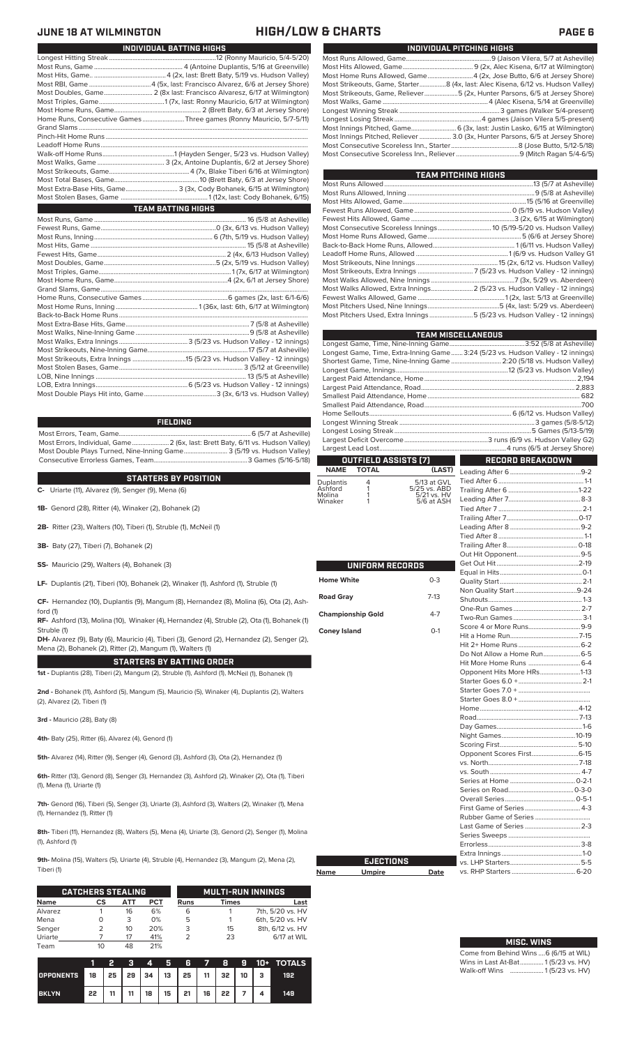## **JUNE 18 AT WILMINGTON HIGH/LOW & CHARTS PAGE 6**

| INDIVIDUAL PITCHING HIGHS                                                       |
|---------------------------------------------------------------------------------|
|                                                                                 |
|                                                                                 |
| Most Home Runs Allowed, Game4 (2x, Jose Butto, 6/6 at Jersey Shore)             |
| Most Strikeouts, Game, Starter8 (4x, last: Alec Kisena, 6/12 vs. Hudson Valley) |
| Most Strikeouts, Game, Reliever5 (2x, Hunter Parsons, 6/5 at Jersey Shore)      |
|                                                                                 |
|                                                                                 |
|                                                                                 |
| Most Innings Pitched, Game 6 (3x, last: Justin Lasko, 6/15 at Wilmington)       |
| Most Innings Pitched, Reliever  3.0 (3x, Hunter Parsons, 6/5 at Jersey Shore)   |
|                                                                                 |
|                                                                                 |

| <b>TEAM PITCHING HIGHS</b>                                                |  |  |  |  |  |  |  |  |  |  |
|---------------------------------------------------------------------------|--|--|--|--|--|--|--|--|--|--|
|                                                                           |  |  |  |  |  |  |  |  |  |  |
|                                                                           |  |  |  |  |  |  |  |  |  |  |
|                                                                           |  |  |  |  |  |  |  |  |  |  |
|                                                                           |  |  |  |  |  |  |  |  |  |  |
|                                                                           |  |  |  |  |  |  |  |  |  |  |
|                                                                           |  |  |  |  |  |  |  |  |  |  |
|                                                                           |  |  |  |  |  |  |  |  |  |  |
|                                                                           |  |  |  |  |  |  |  |  |  |  |
|                                                                           |  |  |  |  |  |  |  |  |  |  |
|                                                                           |  |  |  |  |  |  |  |  |  |  |
|                                                                           |  |  |  |  |  |  |  |  |  |  |
|                                                                           |  |  |  |  |  |  |  |  |  |  |
| Most Walks Allowed, Extra Innings 2 (5/23 vs. Hudson Valley - 12 innings) |  |  |  |  |  |  |  |  |  |  |
|                                                                           |  |  |  |  |  |  |  |  |  |  |
|                                                                           |  |  |  |  |  |  |  |  |  |  |
| Most Pitchers Used, Extra Innings 5 (5/23 vs. Hudson Valley - 12 innings) |  |  |  |  |  |  |  |  |  |  |

|                            |                          |                           | <b>TEAM MISCELLANEOUS</b>                                                         |  |  |  |  |  |
|----------------------------|--------------------------|---------------------------|-----------------------------------------------------------------------------------|--|--|--|--|--|
|                            |                          |                           |                                                                                   |  |  |  |  |  |
|                            |                          |                           | Longest Game, Time, Extra-Inning Game  3:24 (5/23 vs. Hudson Valley - 12 innings) |  |  |  |  |  |
|                            |                          |                           | Shortest Game, Time, Nine-Inning Game  2:20 (5/18 vs. Hudson Valley)              |  |  |  |  |  |
|                            |                          |                           |                                                                                   |  |  |  |  |  |
|                            |                          |                           |                                                                                   |  |  |  |  |  |
|                            |                          |                           |                                                                                   |  |  |  |  |  |
|                            |                          |                           |                                                                                   |  |  |  |  |  |
|                            |                          |                           |                                                                                   |  |  |  |  |  |
|                            |                          |                           |                                                                                   |  |  |  |  |  |
|                            |                          |                           |                                                                                   |  |  |  |  |  |
|                            |                          |                           |                                                                                   |  |  |  |  |  |
|                            |                          |                           |                                                                                   |  |  |  |  |  |
|                            | OUTFIELD ASSISTS (7)     |                           | <b>RECORD BREAKDOWN</b>                                                           |  |  |  |  |  |
| <b>NAME</b>                | <b>TOTAL</b>             | (LAST)                    |                                                                                   |  |  |  |  |  |
| Duplantis                  | 4                        | 5/13 at GVL               |                                                                                   |  |  |  |  |  |
| Ashford                    | 1                        | 5/25 vs. ABD              |                                                                                   |  |  |  |  |  |
| Molina<br>Winaker          | 1<br>1                   | 5/21 vs. HV<br>5/6 at ASH |                                                                                   |  |  |  |  |  |
|                            |                          |                           |                                                                                   |  |  |  |  |  |
|                            |                          |                           |                                                                                   |  |  |  |  |  |
|                            |                          |                           |                                                                                   |  |  |  |  |  |
|                            |                          |                           |                                                                                   |  |  |  |  |  |
|                            |                          |                           |                                                                                   |  |  |  |  |  |
|                            |                          |                           |                                                                                   |  |  |  |  |  |
|                            | UNIFORM RECORDS          |                           |                                                                                   |  |  |  |  |  |
|                            |                          |                           |                                                                                   |  |  |  |  |  |
| <b>Home White</b>          |                          | $0 - 3$                   |                                                                                   |  |  |  |  |  |
|                            |                          |                           |                                                                                   |  |  |  |  |  |
| $7-13$<br><b>Road Gray</b> |                          |                           |                                                                                   |  |  |  |  |  |
|                            | <b>Championship Gold</b> | $4 - 7$                   |                                                                                   |  |  |  |  |  |
|                            |                          |                           |                                                                                   |  |  |  |  |  |
| <b>Coney Island</b>        |                          | $O-1$                     | Score 4 or More Runs9-9                                                           |  |  |  |  |  |
|                            |                          |                           |                                                                                   |  |  |  |  |  |
|                            |                          |                           |                                                                                   |  |  |  |  |  |
|                            |                          |                           |                                                                                   |  |  |  |  |  |
|                            |                          |                           |                                                                                   |  |  |  |  |  |
|                            |                          |                           | Opponent Hits More HRs1-13                                                        |  |  |  |  |  |
|                            |                          |                           |                                                                                   |  |  |  |  |  |
|                            |                          |                           |                                                                                   |  |  |  |  |  |
|                            |                          |                           |                                                                                   |  |  |  |  |  |
|                            |                          |                           |                                                                                   |  |  |  |  |  |
|                            |                          |                           |                                                                                   |  |  |  |  |  |
|                            |                          |                           |                                                                                   |  |  |  |  |  |
|                            |                          |                           |                                                                                   |  |  |  |  |  |
|                            |                          |                           |                                                                                   |  |  |  |  |  |
|                            |                          |                           | Opponent Scores First6-15                                                         |  |  |  |  |  |
|                            |                          |                           |                                                                                   |  |  |  |  |  |
|                            |                          |                           |                                                                                   |  |  |  |  |  |
|                            |                          |                           |                                                                                   |  |  |  |  |  |
|                            |                          |                           |                                                                                   |  |  |  |  |  |
|                            |                          |                           | First Game of Series 4-3                                                          |  |  |  |  |  |
|                            |                          |                           |                                                                                   |  |  |  |  |  |
|                            |                          |                           | Last Game of Series  2-3                                                          |  |  |  |  |  |
|                            |                          |                           |                                                                                   |  |  |  |  |  |
|                            |                          |                           |                                                                                   |  |  |  |  |  |
|                            |                          |                           |                                                                                   |  |  |  |  |  |
|                            | <b>EJECTIONS</b>         |                           |                                                                                   |  |  |  |  |  |
| Name                       | <b>Umpire</b>            | Date                      |                                                                                   |  |  |  |  |  |
|                            |                          |                           |                                                                                   |  |  |  |  |  |

# **MISC. WINS**

| Come from Behind Wins  6 (6/15 at WIL) |  |  |
|----------------------------------------|--|--|
| Wins in Last At-Bat 1(5/23 vs. HV)     |  |  |
| Walk-off Wins                          |  |  |

### Most Hits, Game.. ...........................................4 (2x, last: Brett Baty, 5/19 vs. Hudson Valley) Most RBI, Game .....................................4 (5x, last: Francisco Alvarez, 6/6 at Jersey Shore) Most Doubles, Game............................. 2 (8x last: Francisco Alvaresz, 6/17 at Wilmington) Most Triples, Game.......................................1 (7x, last: Ronny Mauricio, 6/17 at Wilmington) Most Home Runs, Game.................................................... 2 (Brett Baty, 6/3 at Jersey Shore) Home Runs, Consecutive Games .........................Three games (Ronny Mauricio, 5/7-5/11) Grand Slams .........................................................................................................................................

Leadoff Home Runs...<br>Walk-off Home Runs... Walk-off Home Runs...........................................1 (Hayden Senger, 5/23 vs. Hudson Valley) Most Walks, Game ........................................ 3 (2x, Antoine Duplantis, 6/2 at Jersey Shore) Most Strikeouts, Game................................................4 (7x, Blake Tiberi 6/16 at Wilmington) Most Total Bases, Game...................................................10 (Brett Baty, 6/3 at Jersey Shore) Most Extra-Base Hits, Game............................... 3 (3x, Cody Bohanek, 6/15 at Wilmington) Most Stolen Bases, Game ....................................................1 (12x, last: Cody Bohanek, 6/15) **TEAM BATTING HIGHS**

Longest Hitting Streak ................................................................12 (Ronny Mauricio, 5/4-5/20) Most Runs, Game ..................................................... 4 (Antoine Duplantis, 5/16 at Greenville)

**INDIVIDUAL BATTING HIGHS**

### **FIELDING**

Most Errors, Team, Game...............................................................................6 (5/7 at Asheville) Most Errors, Individual, Game......................2 (6x, last: Brett Baty, 6/11 vs. Hudson Valley) Most Double Plays Turned, Nine-Inning Game.......................... 3 (5/19 vs. Hudson Valley) Consecutive Errorless Games, Team.

### **STARTERS BY POSITION**

**C-** Uriarte (11), Alvarez (9), Senger (9), Mena (6)

**1B-** Genord (28), Ritter (4), Winaker (2), Bohanek (2)

**2B-** Ritter (23), Walters (10), Tiberi (1), Struble (1), McNeil (1)

- **3B-** Baty (27), Tiberi (7), Bohanek (2)
- **SS-** Mauricio (29), Walters (4), Bohanek (3)
- **LF-** Duplantis (21), Tiberi (10), Bohanek (2), Winaker (1), Ashford (1), Struble (1)

**CF-** Hernandez (10), Duplantis (9), Mangum (8), Hernandez (8), Molina (6), Ota (2), Ashford (1)

**RF-** Ashford (13), Molina (10), Winaker (4), Hernandez (4), Struble (2), Ota (1), Bohanek (1) Struble (1)

**DH-** Alvarez (9), Baty (6), Mauricio (4), Tiberi (3), Genord (2), Hernandez (2), Senger (2), Mena (2), Bohanek (2), Ritter (2), Mangum (1), Walters (1)

**STARTERS BY BATTING ORDER**

**1st -** Duplantis (28), Tiberi (2), Mangum (2), Struble (1), Ashford (1), McNeil (1), Bohanek (1)

**2nd -** Bohanek (11), Ashford (5), Mangum (5), Mauricio (5), Winaker (4), Duplantis (2), Walters (2), Alvarez (2), Tiberi (1)

**3rd -** Mauricio (28), Baty (8)

**4th-** Baty (25), Ritter (6), Alvarez (4), Genord (1)

**5th-** Alvarez (14), Ritter (9), Senger (4), Genord (3), Ashford (3), Ota (2), Hernandez (1)

**6th-** Ritter (13), Genord (8), Senger (3), Hernandez (3), Ashford (2), Winaker (2), Ota (1), Tiberi (1), Mena (1), Uriarte (1)

**7th-** Genord (16), Tiberi (5), Senger (3), Uriarte (3), Ashford (3), Walters (2), Winaker (1), Mena (1), Hernandez (1), Ritter (1)

8th- Tiberi (11), Hernandez (8), Walters (5), Mena (4), Uriarte (3), Genord (2), Senger (1), Molina (1), Ashford (1)

**9th-** Molina (15), Walters (5), Uriarte (4), Struble (4), Hernandez (3), Mangum (2), Mena (2), Tiberi (1)

|             | <b>CATCHERS STEALING</b> |     |     | <b>MULTI-RUN INNINGS</b> |              |                  |  |  |
|-------------|--------------------------|-----|-----|--------------------------|--------------|------------------|--|--|
| <b>Name</b> | СS                       | ATT | PCT | Runs                     | <b>Times</b> | Last             |  |  |
| Alvarez     |                          | 16  | 6%  | 6                        |              | 7th, 5/20 vs. HV |  |  |
| Mena        |                          | 3   | 0%  | 5                        |              | 6th, 5/20 vs. HV |  |  |
| Senger      | 2                        | 10  | 20% | 3                        | 15           | 8th, 6/12 vs. HV |  |  |
| Uriarte     |                          | 17  | 41% |                          | 23           | 6/17 at WIL      |  |  |
| Team        | 10                       |     | 21% |                          |              |                  |  |  |

|                                        |    | 2  | 7 E T | $\boldsymbol{A}$ | 5678      |                     |  | <b>9 10+ TOTALS</b> |
|----------------------------------------|----|----|-------|------------------|-----------|---------------------|--|---------------------|
| OPPONENTS 18 25 29 34 13 25 11 32 10 3 |    |    |       |                  |           |                     |  | 192                 |
| <b>BKLYN</b>                           | 22 | 11 | 11    | 18 <sup>1</sup>  | $15$   21 | $16 \mid 22 \mid 7$ |  | 149                 |

| UNIFORM RECORDS          |         | Traili<br>Out <b>H</b><br>Get 0 |
|--------------------------|---------|---------------------------------|
|                          |         | Equa                            |
| <b>Home White</b>        | $0 - 3$ | Quali                           |
| <b>Road Gray</b>         | $7-13$  | Non<br>Shut                     |
| <b>Championship Gold</b> | $4 - 7$ | One-<br>Two-                    |
| <b>Coney Island</b>      | $O-1$   | Score<br>Hit a                  |
|                          |         | Hit $21$                        |
|                          |         | Do N                            |
|                          |         | Hit M                           |
|                          |         | Oppo                            |
|                          |         | Start                           |

**Name** 

|  |  |  |  | JUNE 10 AT WILMINGTUN |  |
|--|--|--|--|-----------------------|--|
|  |  |  |  |                       |  |

Pinch-Hit Home Runs...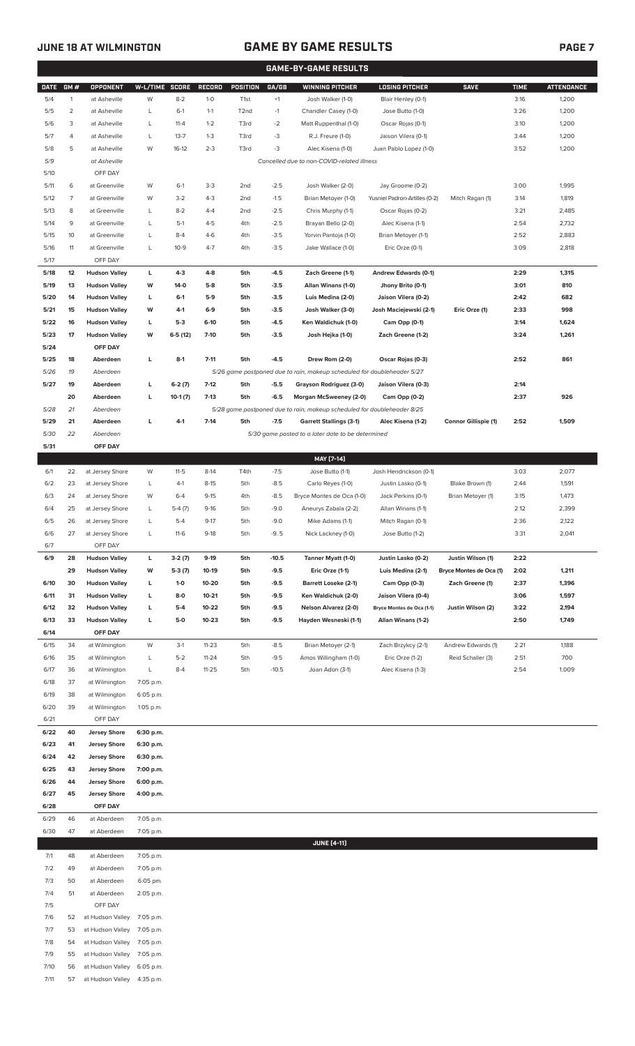# **JUNE 18 AT WILMINGTON GAME BY GAME RESULTS**

| <b>PAGE 7</b> |
|---------------|
|               |
|               |

| <b>GAME-BY-GAME RESULTS</b> |                |                                            |                        |                   |                    |                  |                  |                                                                         |                                         |                             |              |                   |
|-----------------------------|----------------|--------------------------------------------|------------------------|-------------------|--------------------|------------------|------------------|-------------------------------------------------------------------------|-----------------------------------------|-----------------------------|--------------|-------------------|
| <b>DATE</b>                 | GM#            | OPPONENT                                   | W-L/TIME SCORE         |                   | <b>RECORD</b>      | POSITION         | GA/GB            | <b>WINNING PITCHER</b>                                                  | <b>LOSING PITCHER</b>                   | <b>SAVE</b>                 | <b>TIME</b>  | <b>ATTENDANCE</b> |
| 5/4                         | $\mathbf{1}$   | at Asheville                               | W                      | $8 - 2$           | $1 - 0$            | T <sub>1st</sub> | $+1$             | Josh Walker (1-0)                                                       | Blair Henley (0-1)                      |                             | 3:16         | 1,200             |
| 5/5                         | $\overline{2}$ | at Asheville                               | L                      | $6-1$             | $1 - 1$            | T <sub>2nd</sub> | $-1$             | Chandler Casey (1-0)                                                    | Jose Butto (1-0)                        |                             | 3:26         | 1,200             |
| 5/6                         | 3              | at Asheville                               | L                      | $11 - 4$          | $1 - 2$            | T3rd             | $-2$             | Matt Ruppenthal (1-0)                                                   | Oscar Rojas (0-1)                       |                             | 3:10         | 1,200             |
| 5/7                         | 4              | at Asheville                               | L                      | $13 - 7$          | $1 - 3$            | T3rd             | -3               | R.J. Freure (1-0)                                                       | Jaison Vilera (0-1)                     |                             | 3:44         | 1,200             |
| 5/8                         | 5              | at Asheville                               | W                      | $16-12$           | $2 - 3$            | T3rd             | $-3$             | Alec Kisena (1-0)                                                       | Juan Pablo Lopez (1-0)                  |                             | 3:52         | 1,200             |
| 5/9                         |                | at Asheville<br>OFF DAY                    |                        |                   |                    |                  |                  | Cancelled due to non-COVID-related illness                              |                                         |                             |              |                   |
| 5/10<br>5/11                | 6              | at Greenville                              | W                      | $6-1$             | $3 - 3$            | 2 <sub>nd</sub>  | $-2.5$           | Josh Walker (2-0)                                                       | Jay Groome (0-2)                        |                             | 3:00         | 1,995             |
| 5/12                        | 7              | at Greenville                              | W                      | $3-2$             | $4 - 3$            | 2 <sub>nd</sub>  | $-1.5$           | Brian Metoyer (1-0)                                                     | Yusniel Padron-Artilles (0-2)           | Mitch Ragan (1)             | 3:14         | 1,819             |
| 5/13                        | 8              | at Greenville                              | L                      | $8 - 2$           | $4 - 4$            | 2 <sub>nd</sub>  | $-2.5$           | Chris Murphy (1-1)                                                      | Oscar Rojas (0-2)                       |                             | 3:21         | 2,485             |
| 5/14                        | 9              | at Greenville                              | L                      | $5-1$             | $4 - 5$            | 4th              | $-2.5$           | Brayan Bello (2-0)                                                      | Alec Kisena (1-1)                       |                             | 2:54         | 2,732             |
| 5/15                        | 10             | at Greenville                              | L                      | $8 - 4$           | $4-6$              | 4th              | $-3.5$           | Yorvin Pantoja (1-0)                                                    | Brian Metoyer (1-1)                     |                             | 2:52         | 2,883             |
| 5/16                        | 11             | at Greenville                              | L                      | $10-9$            | $4 - 7$            | 4th              | $-3.5$           | Jake Wallace (1-0)                                                      | Eric Orze (0-1)                         |                             | 3:09         | 2,818             |
| 5/17                        |                | OFF DAY                                    |                        |                   |                    |                  |                  |                                                                         |                                         |                             |              |                   |
| 5/18                        | 12             | <b>Hudson Valley</b>                       | г                      | $4-3$             | $4 - 8$            | 5th              | $-4.5$           | Zach Greene (1-1)                                                       | Andrew Edwards (0-1)                    |                             | 2:29         | 1,315             |
| 5/19                        | 13             | <b>Hudson Valley</b>                       | W                      | 14-0              | $5-8$              | 5th              | $-3.5$           | Allan Winans (1-0)                                                      | Jhony Brito (0-1)                       |                             | 3:01         | 810               |
| 5/20                        | 14             | <b>Hudson Valley</b>                       | г                      | $6-1$             | $5-9$              | 5th              | $-3.5$           | Luis Medina (2-0)                                                       | Jaison Vilera (0-2)                     |                             | 2:42         | 682               |
| 5/21                        | 15             | <b>Hudson Valley</b>                       | W                      | 4-1               | $6-9$              | 5th              | $-3.5$           | Josh Walker (3-0)                                                       | Josh Maciejewski (2-1)                  | Eric Orze (1)               | 2:33         | 998               |
| 5/22                        | 16             | <b>Hudson Valley</b>                       | г                      | $5-3$             | $6-10$             | 5th              | -4.5             | Ken Waldichuk (1-0)                                                     | Cam Opp (0-1)                           |                             | 3:14         | 1,624             |
| 5/23                        | 17             | <b>Hudson Valley</b>                       | w                      | $6-5(12)$         | $7-10$             | 5th              | $-3.5$           | Josh Hejka (1-0)                                                        | Zach Greene (1-2)                       |                             | 3:24         | 1,261             |
| 5/24<br>5/25                | 18             | OFF DAY<br>Aberdeen                        | г                      | $8-1$             | $7 - 11$           | 5th              | $-4.5$           | Drew Rom (2-0)                                                          | Oscar Rojas (0-3)                       |                             | 2:52         | 861               |
| 5/26                        | 19             | Aberdeen                                   |                        |                   |                    |                  |                  | 5/26 game postponed due to rain, makeup scheduled for doubleheader 5/27 |                                         |                             |              |                   |
| 5/27                        | 19             | Aberdeen                                   | L                      | $6-2(7)$          | $7-12$             | 5th              | $-5.5$           | Grayson Rodriguez (3-0)                                                 | Jaison Vilera (0-3)                     |                             | 2:14         |                   |
|                             | 20             | Aberdeen                                   | L                      | $10-1(7)$         | $7-13$             | 5th              | $-6.5$           | Morgan McSweeney (2-0)                                                  | Cam Opp (0-2)                           |                             | 2:37         | 926               |
| 5/28                        | 21             | Aberdeen                                   |                        |                   |                    |                  |                  | 5/28 game postponed due to rain, makeup scheduled for doubleheader 8/25 |                                         |                             |              |                   |
| 5/29                        | 21             | Aberdeen                                   | L                      | $4-1$             | $7 - 14$           | 5th              | $-7.5$           | <b>Garrett Stallings (3-1)</b>                                          | Alec Kisena (1-2)                       | <b>Connor Gillispie (1)</b> | 2:52         | 1,509             |
| 5/30                        | 22             | Aberdeen                                   |                        |                   |                    |                  |                  | 5/30 game posted to a later date to be determined                       |                                         |                             |              |                   |
| 5/31                        |                | OFF DAY                                    |                        |                   |                    |                  |                  |                                                                         |                                         |                             |              |                   |
|                             |                |                                            |                        |                   |                    |                  |                  | MAY [7-14]                                                              |                                         |                             |              |                   |
| 6/1                         | 22             | at Jersey Shore                            | W                      | $11-5$            | $8-14$             | T4th             | $-7.5$           | Jose Butto (1-1)                                                        | Josh Hendrickson (0-1)                  |                             | 3:03         | 2,077             |
| 6/2                         | 23             | at Jersey Shore                            | L                      | $4-1$             | $8-15$             | 5th              | $-8.5$           | Carlo Reyes (1-0)                                                       | Justin Lasko (0-1)                      | Blake Brown (1)             | 2:44         | 1,591             |
| 6/3                         | 24             | at Jersey Shore                            | W                      | $6 - 4$           | $9 - 15$           | 4th              | $-8.5$           | Bryce Montes de Oca (1-0)                                               | Jack Perkins (0-1)                      | Brian Metoyer (1)           | 3:15         | 1,473             |
| 6/4<br>6/5                  | 25<br>26       | at Jersey Shore<br>at Jersey Shore         | L<br>L                 | $5-4(7)$<br>$5-4$ | $9-16$<br>$9 - 17$ | 5th<br>5th       | $-9.0$<br>$-9.0$ | Aneurys Zabala (2-2)<br>Mike Adams (1-1)                                | Allan Winans (1-1)<br>Mitch Ragan (0-1) |                             | 2:12<br>2:36 | 2,399<br>2,122    |
| 6/6                         | 27             | at Jersey Shore                            | L                      | $11-6$            | $9-18$             | 5th              | $-9.5$           | Nick Lackney (1-0)                                                      | Jose Butto (1-2)                        |                             | 3:31         | 2,041             |
| 6/7                         |                | OFF DAY                                    |                        |                   |                    |                  |                  |                                                                         |                                         |                             |              |                   |
| 6/9                         | 28             | <b>Hudson Valley</b>                       | г                      | $3-2(7)$          | $9-19$             | 5th              | $-10.5$          | Tanner Myatt (1-0)                                                      | Justin Lasko (0-2)                      | Justin Wilson (1)           | 2:22         |                   |
|                             | 29             | <b>Hudson Valley</b>                       | W                      | $5-3(7)$          | 10-19              | 5th              | $-9.5$           | Eric Orze (1-1)                                                         | Luis Medina (2-1)                       | Bryce Montes de Oca (1)     | 2:02         | 1,211             |
| 6/10                        | 30             | <b>Hudson Valley</b>                       | L                      | $1-0$             | 10-20              | 5th              | $-9.5$           | Barrett Loseke (2-1)                                                    | Cam Opp (0-3)                           | Zach Greene (1)             | 2:37         | 1,396             |
| 6/11                        | 31             | <b>Hudson Valley</b>                       | L                      | $8-0$             | $10 - 21$          | 5th              | $-9.5$           | Ken Waldichuk (2-0)                                                     | Jaison Vilera (0-4)                     |                             | 3:06         | 1,597             |
| 6/12                        | 32             | <b>Hudson Valley</b>                       | L                      | $5-4$             | 10-22              | 5th              | $-9.5$           | <b>Nelson Alvarez (2-0)</b>                                             | Bryce Montes de Oca (1-1)               | Justin Wilson (2)           | 3:22         | 2,194             |
| 6/13                        | 33             | <b>Hudson Valley</b>                       | L                      | 5-0               | $10 - 23$          | 5th              | $-9.5$           | Hayden Wesneski (1-1)                                                   | Allan Winans (1-2)                      |                             | 2:50         | 1,749             |
| 6/14<br>6/15                | 34             | OFF DAY<br>at Wilmington                   | W                      | $3-1$             | $11 - 23$          | 5th              | $-8.5$           | Brian Metoyer (2-1)                                                     | Zach Brzykcy (2-1)                      | Andrew Edwards (1)          | 2:21         | 1,188             |
| 6/16                        | 35             | at Wilmington                              | L                      | $5-2$             | $11 - 24$          | 5th              | $-9.5$           | Amos Willingham (1-0)                                                   | Eric Orze (1-2)                         | Reid Schaller (3)           | 2:51         | 700               |
| 6/17                        | 36             | at Wilmington                              | L                      | $8-4$             | 11-25              | 5th              | $-10.5$          | Joan Adon (3-1)                                                         | Alec Kisena (1-3)                       |                             | 2:54         | 1,009             |
| 6/18                        | 37             | at Wilmington                              | 7:05 p.m.              |                   |                    |                  |                  |                                                                         |                                         |                             |              |                   |
| 6/19                        | 38             | at Wilmington                              | 6:05 p.m.              |                   |                    |                  |                  |                                                                         |                                         |                             |              |                   |
| 6/20                        | 39             | at Wilmington                              | 1:05 p.m.              |                   |                    |                  |                  |                                                                         |                                         |                             |              |                   |
| 6/21                        |                | OFF DAY                                    |                        |                   |                    |                  |                  |                                                                         |                                         |                             |              |                   |
| 6/22                        | 40             | <b>Jersey Shore</b>                        | 6:30 p.m.              |                   |                    |                  |                  |                                                                         |                                         |                             |              |                   |
| 6/23                        | 41             | <b>Jersey Shore</b>                        | 6:30 p.m.              |                   |                    |                  |                  |                                                                         |                                         |                             |              |                   |
| 6/24                        | 42             | <b>Jersey Shore</b>                        | 6:30 p.m.              |                   |                    |                  |                  |                                                                         |                                         |                             |              |                   |
| 6/25<br>6/26                | 43<br>44       | <b>Jersey Shore</b><br><b>Jersey Shore</b> | 7:00 p.m.<br>6:00 p.m. |                   |                    |                  |                  |                                                                         |                                         |                             |              |                   |
| 6/27                        | 45             | <b>Jersey Shore</b>                        | 4:00 p.m.              |                   |                    |                  |                  |                                                                         |                                         |                             |              |                   |
| 6/28                        |                | OFF DAY                                    |                        |                   |                    |                  |                  |                                                                         |                                         |                             |              |                   |
| 6/29                        | 46             | at Aberdeen                                | 7:05 p.m.              |                   |                    |                  |                  |                                                                         |                                         |                             |              |                   |
| 6/30                        | 47             | at Aberdeen                                | 7:05 p.m.              |                   |                    |                  |                  |                                                                         |                                         |                             |              |                   |
|                             |                |                                            |                        |                   |                    |                  |                  | <b>JUNE [4-11]</b>                                                      |                                         |                             |              |                   |
| 7/1                         | 48             | at Aberdeen                                | 7:05 p.m.              |                   |                    |                  |                  |                                                                         |                                         |                             |              |                   |
| 7/2                         | 49             | at Aberdeen                                | 7:05 p.m.              |                   |                    |                  |                  |                                                                         |                                         |                             |              |                   |
| 7/3                         | 50             | at Aberdeen                                | 6:05 pm.               |                   |                    |                  |                  |                                                                         |                                         |                             |              |                   |
| 7/4<br>7/5                  | 51             | at Aberdeen<br>OFF DAY                     | 2:05 p.m.              |                   |                    |                  |                  |                                                                         |                                         |                             |              |                   |
| 7/6                         | 52             | at Hudson Valley                           | 7:05 p.m.              |                   |                    |                  |                  |                                                                         |                                         |                             |              |                   |
| 7/7                         | 53             | at Hudson Valley                           | 7:05 p.m.              |                   |                    |                  |                  |                                                                         |                                         |                             |              |                   |
| 7/8                         | 54             | at Hudson Valley                           | 7:05 p.m.              |                   |                    |                  |                  |                                                                         |                                         |                             |              |                   |
| 7/9                         | 55             | at Hudson Valley                           | 7:05 p.m.              |                   |                    |                  |                  |                                                                         |                                         |                             |              |                   |
| 7/10                        | 56             | at Hudson Valley                           | 6:05 p.m.              |                   |                    |                  |                  |                                                                         |                                         |                             |              |                   |
| 7/11                        | 57             | at Hudson Valley                           | 4:35 p.m.              |                   |                    |                  |                  |                                                                         |                                         |                             |              |                   |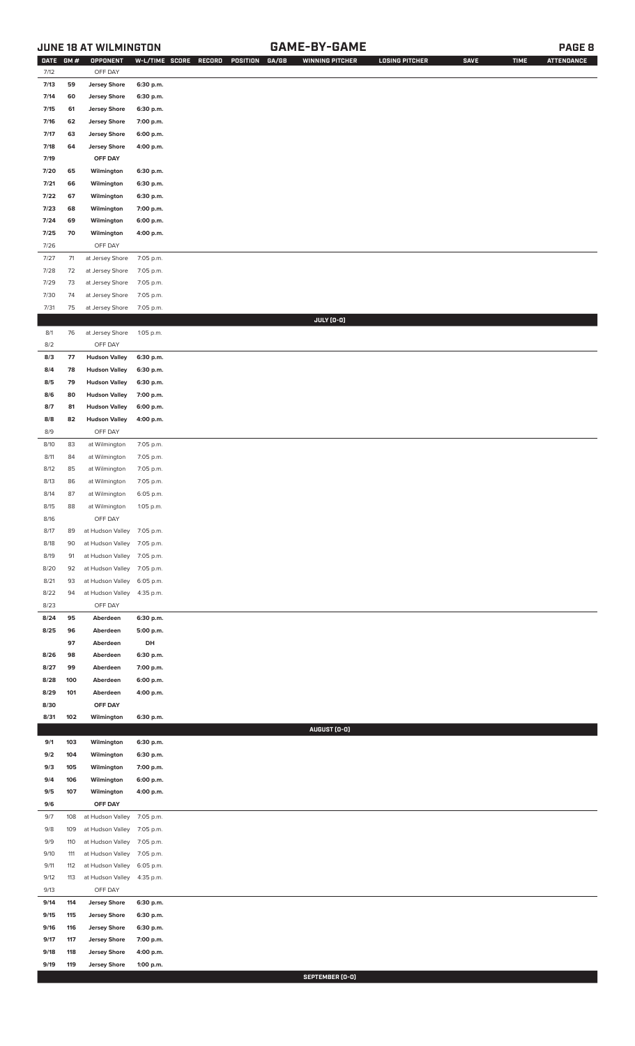# **JUNE 18 AT WILMINGTON GAME-BY-GAME PAGE 8**

| DATE         | GM#        | OPPONENT                                   | W-L/TIME SCORE         | RECORD<br>POSITION<br>GA/GB | <b>WINNING PITCHER</b> | <b>LOSING PITCHER</b> | <b>SAVE</b> | <b>TIME</b> | <b>ATTENDANCE</b> |
|--------------|------------|--------------------------------------------|------------------------|-----------------------------|------------------------|-----------------------|-------------|-------------|-------------------|
| 7/12         |            | OFF DAY                                    |                        |                             |                        |                       |             |             |                   |
| 7/13         | 59         | <b>Jersey Shore</b>                        | 6:30 p.m.              |                             |                        |                       |             |             |                   |
| 7/14         | 60         | <b>Jersey Shore</b>                        | 6:30 p.m.              |                             |                        |                       |             |             |                   |
| 7/15         | 61         | <b>Jersey Shore</b>                        | 6:30 p.m.              |                             |                        |                       |             |             |                   |
| 7/16         | 62         | <b>Jersey Shore</b>                        | 7:00 p.m.              |                             |                        |                       |             |             |                   |
| 7/17         | 63         | <b>Jersey Shore</b>                        | 6:00 p.m.              |                             |                        |                       |             |             |                   |
| 7/18         | 64         | <b>Jersey Shore</b>                        | 4:00 p.m.              |                             |                        |                       |             |             |                   |
| 7/19         |            | OFF DAY                                    |                        |                             |                        |                       |             |             |                   |
|              |            |                                            |                        |                             |                        |                       |             |             |                   |
| 7/20         | 65         | Wilmington                                 | 6:30 p.m.              |                             |                        |                       |             |             |                   |
| 7/21         | 66         | Wilmington                                 | 6:30 p.m.              |                             |                        |                       |             |             |                   |
| 7/22         | 67         | Wilmington                                 | 6:30 p.m.              |                             |                        |                       |             |             |                   |
| 7/23         | 68         | Wilmington                                 | 7:00 p.m.              |                             |                        |                       |             |             |                   |
| 7/24         | 69         | Wilmington                                 | 6:00 p.m.              |                             |                        |                       |             |             |                   |
| 7/25         | 70         | Wilmington                                 | 4:00 p.m.              |                             |                        |                       |             |             |                   |
| 7/26         |            | OFF DAY                                    |                        |                             |                        |                       |             |             |                   |
| 7/27         | $71$       | at Jersey Shore                            | 7:05 p.m.              |                             |                        |                       |             |             |                   |
| 7/28         | 72         | at Jersey Shore                            | 7:05 p.m.              |                             |                        |                       |             |             |                   |
| 7/29         | 73         | at Jersey Shore                            | 7:05 p.m.              |                             |                        |                       |             |             |                   |
| 7/30         | 74         | at Jersey Shore                            | 7:05 p.m.              |                             |                        |                       |             |             |                   |
| 7/31         | 75         | at Jersey Shore                            | 7:05 p.m.              |                             |                        |                       |             |             |                   |
|              |            |                                            |                        |                             | JULY (0-0)             |                       |             |             |                   |
| 8/1          | 76         | at Jersey Shore                            | 1:05 p.m.              |                             |                        |                       |             |             |                   |
| 8/2          |            | OFF DAY                                    |                        |                             |                        |                       |             |             |                   |
| 8/3          | 77         | <b>Hudson Valley</b>                       | 6:30 p.m.              |                             |                        |                       |             |             |                   |
| 8/4          | 78         | <b>Hudson Valley</b>                       | 6:30 p.m.              |                             |                        |                       |             |             |                   |
| 8/5          | 79         | <b>Hudson Valley</b>                       | 6:30 p.m.              |                             |                        |                       |             |             |                   |
| 8/6          | 80         | <b>Hudson Valley</b>                       | 7:00 p.m.              |                             |                        |                       |             |             |                   |
| 8/7          | 81         | <b>Hudson Valley</b>                       | 6:00 p.m.              |                             |                        |                       |             |             |                   |
| 8/8          |            |                                            |                        |                             |                        |                       |             |             |                   |
| 8/9          | 82         | <b>Hudson Valley</b><br>OFF DAY            | 4:00 p.m.              |                             |                        |                       |             |             |                   |
|              |            |                                            |                        |                             |                        |                       |             |             |                   |
| 8/10         | 83         | at Wilmington                              | 7:05 p.m.              |                             |                        |                       |             |             |                   |
| 8/11         | 84         | at Wilmington                              | 7:05 p.m.              |                             |                        |                       |             |             |                   |
| 8/12         | 85         | at Wilmington                              | 7:05 p.m.              |                             |                        |                       |             |             |                   |
| 8/13         | 86         | at Wilmington                              | 7:05 p.m.              |                             |                        |                       |             |             |                   |
| 8/14         | 87         | at Wilmington                              | 6:05 p.m.              |                             |                        |                       |             |             |                   |
| 8/15         | 88         | at Wilmington                              | 1:05 p.m.              |                             |                        |                       |             |             |                   |
| 8/16         |            | OFF DAY                                    |                        |                             |                        |                       |             |             |                   |
| 8/17         | 89         | at Hudson Valley 7:05 p.m.                 |                        |                             |                        |                       |             |             |                   |
| 8/18         | 90         | at Hudson Valley                           | 7:05 p.m.              |                             |                        |                       |             |             |                   |
| 8/19         | 91         | at Hudson Valley                           | 7:05 p.m.              |                             |                        |                       |             |             |                   |
| 8/20         | 92         | at Hudson Valley                           | 7:05 p.m.              |                             |                        |                       |             |             |                   |
| 8/21         | 93         | at Hudson Valley                           | 6:05 p.m.              |                             |                        |                       |             |             |                   |
| 8/22         | 94         | at Hudson Valley                           | 4:35 p.m.              |                             |                        |                       |             |             |                   |
| 8/23         |            | OFF DAY                                    |                        |                             |                        |                       |             |             |                   |
| 8/24         | 95         | Aberdeen                                   | 6:30 p.m.              |                             |                        |                       |             |             |                   |
| 8/25         | 96         | Aberdeen                                   | 5:00 p.m.              |                             |                        |                       |             |             |                   |
|              | 97         | Aberdeen                                   | DH                     |                             |                        |                       |             |             |                   |
| 8/26         | 98         | Aberdeen                                   | 6:30 p.m.              |                             |                        |                       |             |             |                   |
| 8/27         | 99         | Aberdeen                                   | 7:00 p.m.              |                             |                        |                       |             |             |                   |
| 8/28         | 100        | Aberdeen                                   | 6:00 p.m.              |                             |                        |                       |             |             |                   |
| 8/29         | 101        | Aberdeen                                   | 4:00 p.m.              |                             |                        |                       |             |             |                   |
| 8/30         |            | OFF DAY                                    |                        |                             |                        |                       |             |             |                   |
| 8/31         | 102        | Wilmington                                 | 6:30 p.m.              |                             |                        |                       |             |             |                   |
|              |            |                                            |                        |                             | AUGUST (0-0)           |                       |             |             |                   |
| 9/1          | 103        | Wilmington                                 | 6:30 p.m.              |                             |                        |                       |             |             |                   |
| 9/2          | 104        | Wilmington                                 | 6:30 p.m.              |                             |                        |                       |             |             |                   |
| 9/3          | 105        | Wilmington                                 | 7:00 p.m.              |                             |                        |                       |             |             |                   |
| 9/4          | 106        | Wilmington                                 | 6:00 p.m.              |                             |                        |                       |             |             |                   |
| 9/5          | 107        | Wilmington                                 | 4:00 p.m.              |                             |                        |                       |             |             |                   |
| 9/6          |            | OFF DAY                                    |                        |                             |                        |                       |             |             |                   |
| 9/7          | 108        | at Hudson Valley                           | 7:05 p.m.              |                             |                        |                       |             |             |                   |
| 9/8          | 109        | at Hudson Valley                           | 7:05 p.m.              |                             |                        |                       |             |             |                   |
| 9/9          | 110        | at Hudson Valley                           | 7:05 p.m.              |                             |                        |                       |             |             |                   |
| 9/10         | 111        | at Hudson Valley                           | 7:05 p.m.              |                             |                        |                       |             |             |                   |
| 9/11         | 112        | at Hudson Valley                           | 6:05 p.m.              |                             |                        |                       |             |             |                   |
| 9/12         | 113        | at Hudson Valley                           | 4:35 p.m.              |                             |                        |                       |             |             |                   |
| 9/13         |            | OFF DAY                                    |                        |                             |                        |                       |             |             |                   |
| 9/14         | 114        | <b>Jersey Shore</b>                        | 6:30 p.m.              |                             |                        |                       |             |             |                   |
| 9/15         | 115        |                                            | 6:30 p.m.              |                             |                        |                       |             |             |                   |
|              |            | <b>Jersey Shore</b>                        | 6:30 p.m.              |                             |                        |                       |             |             |                   |
| 9/16         | 116        | <b>Jersey Shore</b>                        |                        |                             |                        |                       |             |             |                   |
| 9/17<br>9/18 | 117        | <b>Jersey Shore</b>                        | 7:00 p.m.<br>4:00 p.m. |                             |                        |                       |             |             |                   |
| 9/19         | 118<br>119 | <b>Jersey Shore</b><br><b>Jersey Shore</b> | 1:00 p.m.              |                             |                        |                       |             |             |                   |
|              |            |                                            |                        |                             |                        |                       |             |             |                   |

**SEPTEMBER (0-0)**